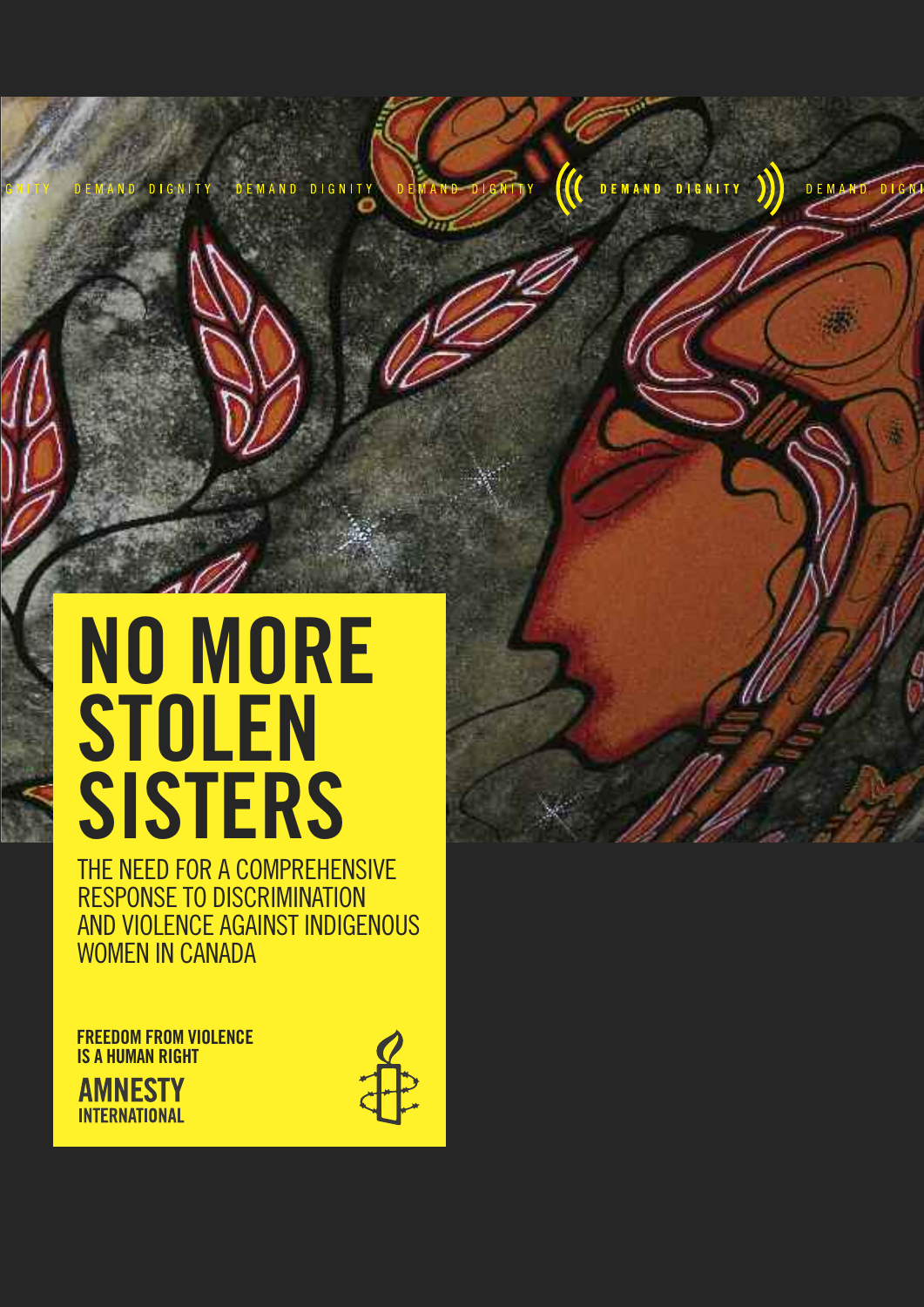DIGNITY DEMAND DIGNITY

**COMMOND DIGNITY** 

**DFM** 

# NO MORE **STOLEN** SISTERS

THE NEED FOR A COMPREHENSIVE RESPONSE TO DISCRIMINATION AND VIOLENCE AGAINST INDIGENOUS WOMEN IN CANADA

FREEDOM FROM VIOLENCE IS A HUMAN RIGHT



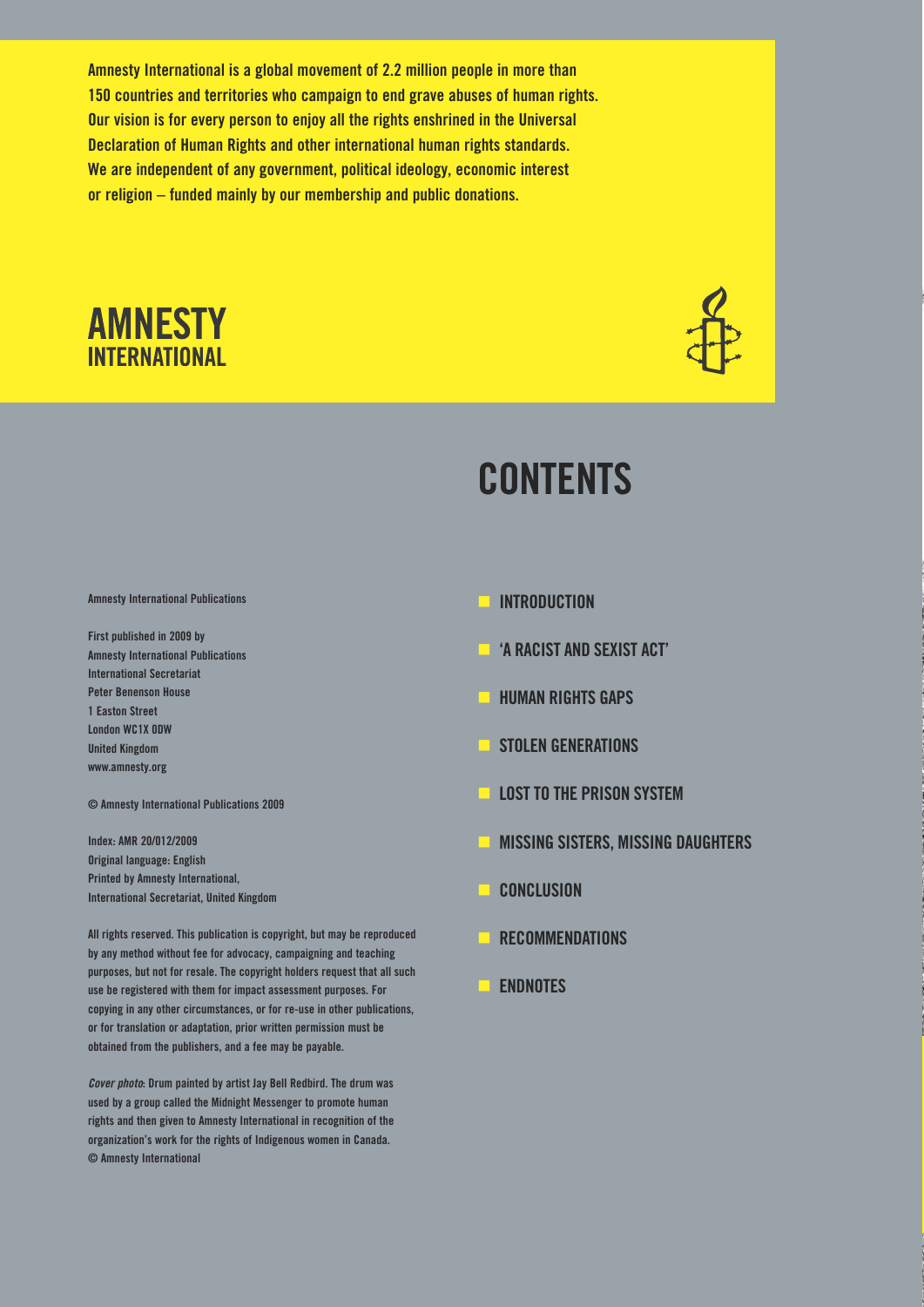Amnesty International is a global movement of 2.2 million people in more than 150 countries and territories who campaign to end grave abuses of human rights. Our vision is for every person to enjoy all the rights enshrined in the Universal Declaration of Human Rights and other international human rights standards. We are independent of any government, political ideology, economic interest or religion – funded mainly by our membership and public donations.





### **CONTENTS**

#### Amnesty International Publications

First published in 2009 by Amnesty International Publications International Secretariat Peter Benenson House 1 Easton Street London WC1X 0DW United Kingdom www.amnesty.org

© Amnesty International Publications 2009

Index: AMR 20/012/2009 Original language: English Printed by Amnesty International, International Secretariat, United Kingdom

All rights reserved. This publication is copyright, but may be reproduced by any method without fee for advocacy, campaigning and teaching purposes, but not for resale. The copyright holders request that all such use be registered with them for impact assessment purposes. For copying in any other circumstances, or for re-use in other publications, or for translation or adaptation, prior written permission must be obtained from the publishers, and a fee may be payable.

*Cover photo*: Drum painted by artist Jay Bell Redbird. The drum was used by a group called the Midnight Messenger to promote human rights and then given to Amnesty International in recognition of the organization's work for the rights of Indigenous women in Canada. © Amnesty International

- **INTRODUCTION**
- **THE 'A RACIST AND SEXIST ACT'**
- **HUMAN RIGHTS GAPS**
- STOLEN GENERATIONS
- LOSTTO THE PRISON SYSTEM
- **MISSING SISTERS, MISSING DAUGHTERS**
- **CONCLUSION**
- **RECOMMENDATIONS**
- **ENDNOTES**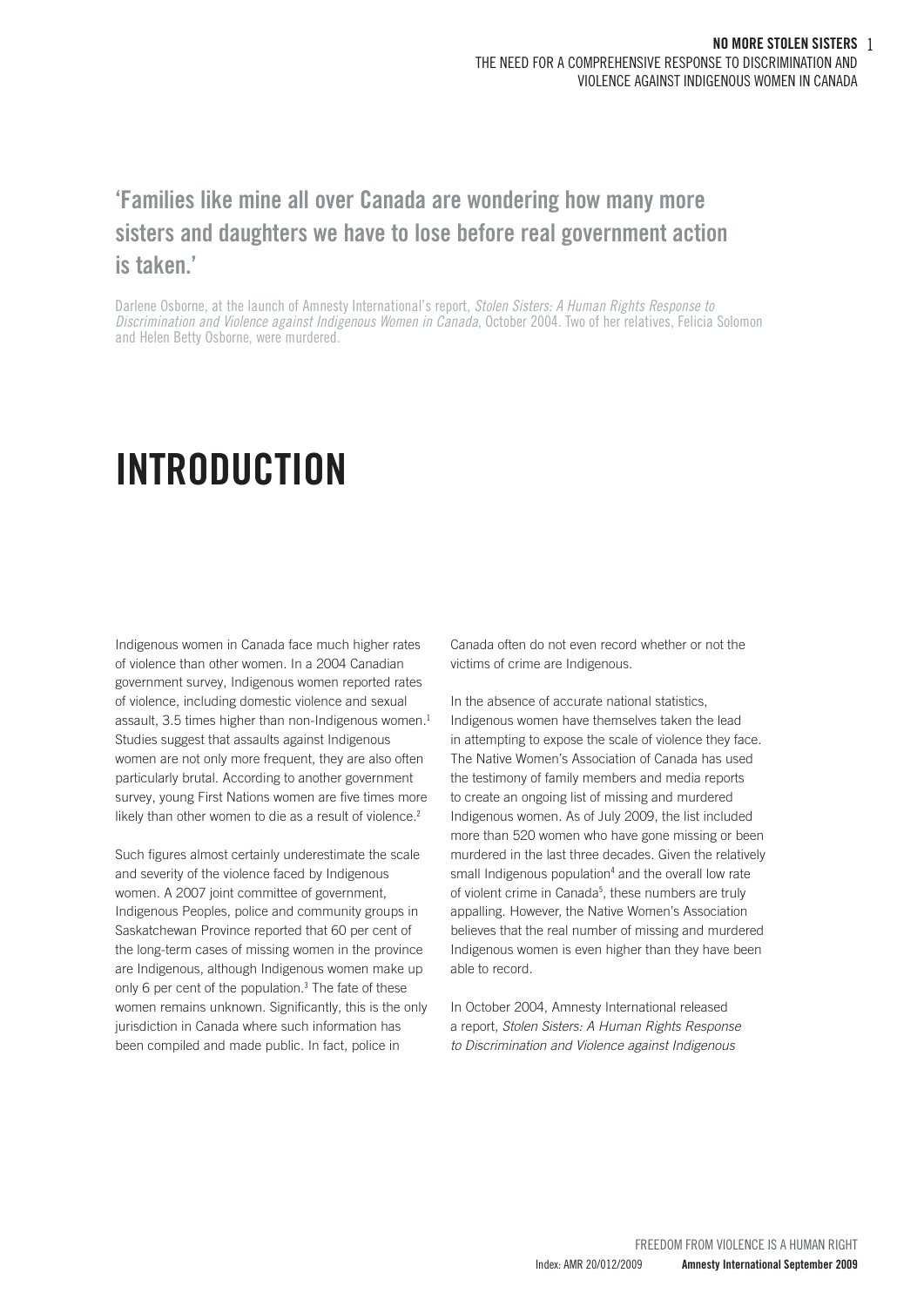### 'Families like mine all over Canada are wondering how many more sisters and daughters we have to lose before real government action is taken.'

Darlene Osborne, at the launch of Amnesty International's report, *Stolen Sisters: A Human Rights Response to Discrimination and Violence against Indigenous Women in Canada*, October 2004. Two of her relatives, Felicia Solomon and Helen Betty Osborne, were murdered.

### INTRODUCTION

Indigenous women in Canada face much higher rates of violence than other women. In a 2004 Canadian government survey, Indigenous women reported rates of violence, including domestic violence and sexual assault, 3.5 times higher than non-Indigenous women.<sup>1</sup> Studies suggest that assaults against Indigenous women are not only more frequent, they are also often particularly brutal. According to another government survey, young First Nations women are five times more likely than other women to die as a result of violence.<sup>2</sup>

Such figures almost certainly underestimate the scale and severity of the violence faced by Indigenous women. A 2007 joint committee of government, Indigenous Peoples, police and community groups in Saskatchewan Province reported that 60 per cent of the long-term cases of missing women in the province are Indigenous, although Indigenous women make up only 6 per cent of the population.<sup>3</sup> The fate of these women remains unknown. Significantly, this is the only jurisdiction in Canada where such information has been compiled and made public. In fact, police in

Canada often do not even record whether or not the victims of crime are Indigenous.

In the absence of accurate national statistics, Indigenous women have themselves taken the lead in attempting to expose the scale of violence they face. The Native Women's Association of Canada has used the testimony of family members and media reports to create an ongoing list of missing and murdered Indigenous women. As of July 2009, the list included more than 520 women who have gone missing or been murdered in the last three decades. Given the relatively small Indigenous population<sup>4</sup> and the overall low rate of violent crime in Canada<sup>5</sup>, these numbers are truly appalling. However, the Native Women's Association believes that the real number of missing and murdered Indigenous women is even higher than they have been able to record.

In October 2004, Amnesty International released a report, Stolen Sisters: A Human Rights Response to Discrimination and Violence against Indigenous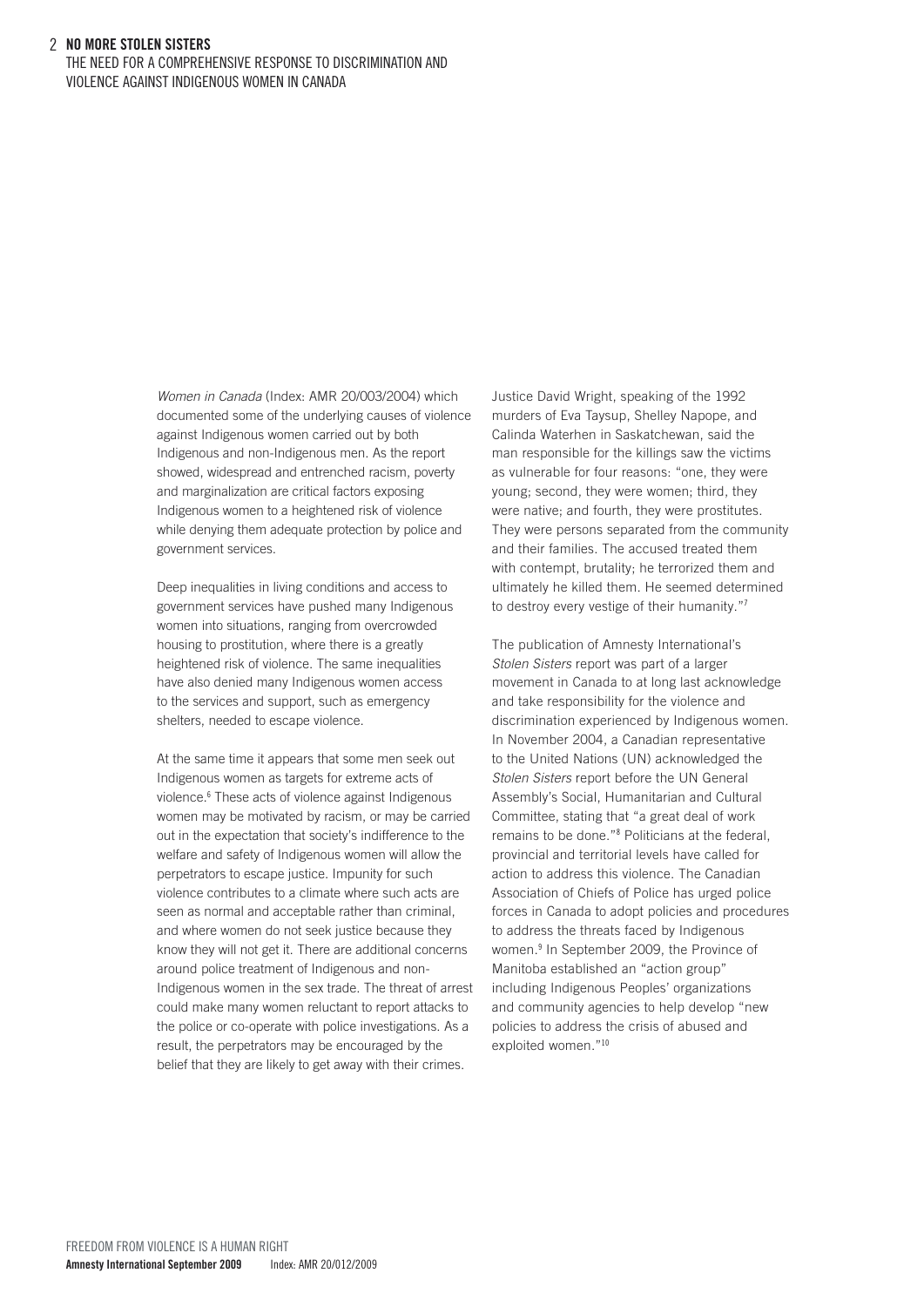THE NEED FOR A COMPREHENSIVE RESPONSE TO DISCRIMINATION AND VIOLENCE AGAINST INDIGENOUS WOMEN IN CANADA

> Women in Canada (Index: AMR 20/003/2004) which documented some of the underlying causes of violence against Indigenous women carried out by both Indigenous and non-Indigenous men. As the report showed, widespread and entrenched racism, poverty and marginalization are critical factors exposing Indigenous women to a heightened risk of violence while denying them adequate protection by police and government services.

Deep inequalities in living conditions and access to government services have pushed many Indigenous women into situations, ranging from overcrowded housing to prostitution, where there is a greatly heightened risk of violence. The same inequalities have also denied many Indigenous women access to the services and support, such as emergency shelters, needed to escape violence.

At the same time it appears that some men seek out Indigenous women as targets for extreme acts of violence. <sup>6</sup> These acts of violence against Indigenous women may be motivated by racism, or may be carried out in the expectation that society's indifference to the welfare and safety of Indigenous women will allow the perpetrators to escape justice. Impunity for such violence contributes to a climate where such acts are seen as normal and acceptable rather than criminal, and where women do not seek justice because they know they will not get it. There are additional concerns around police treatment of Indigenous and non-Indigenous women in the sex trade. The threat of arrest could make many women reluctant to report attacks to the police or co-operate with police investigations. As a result, the perpetrators may be encouraged by the belief that they are likely to get away with their crimes.

Justice David Wright, speaking of the 1992 murders of Eva Taysup, Shelley Napope, and Calinda Waterhen in Saskatchewan, said the man responsible for the killings saw the victims as vulnerable for four reasons: "one, they were young; second, they were women; third, they were native; and fourth, they were prostitutes. They were persons separated from the community and their families. The accused treated them with contempt, brutality; he terrorized them and ultimately he killed them. He seemed determined to destroy every vestige of their humanity."<sup>7</sup>

The publication of Amnesty International's *Stolen Sisters* report was part of a larger movement in Canada to at long last acknowledge and take responsibility for the violence and discrimination experienced by Indigenous women. In November 2004, a Canadian representative to the United Nations (UN) acknowledged the *Stolen Sisters* report before the UN General Assembly's Social, Humanitarian and Cultural Committee, stating that "a great deal of work remains to be done."<sup>8</sup> Politicians at the federal, provincial and territorial levels have called for action to address this violence. The Canadian Association of Chiefs of Police has urged police forces in Canada to adopt policies and procedures to address the threats faced by Indigenous women. <sup>9</sup> In September 2009, the Province of Manitoba established an "action group" including Indigenous Peoples' organizations and community agencies to help develop "new policies to address the crisis of abused and exploited women."<sup>10</sup>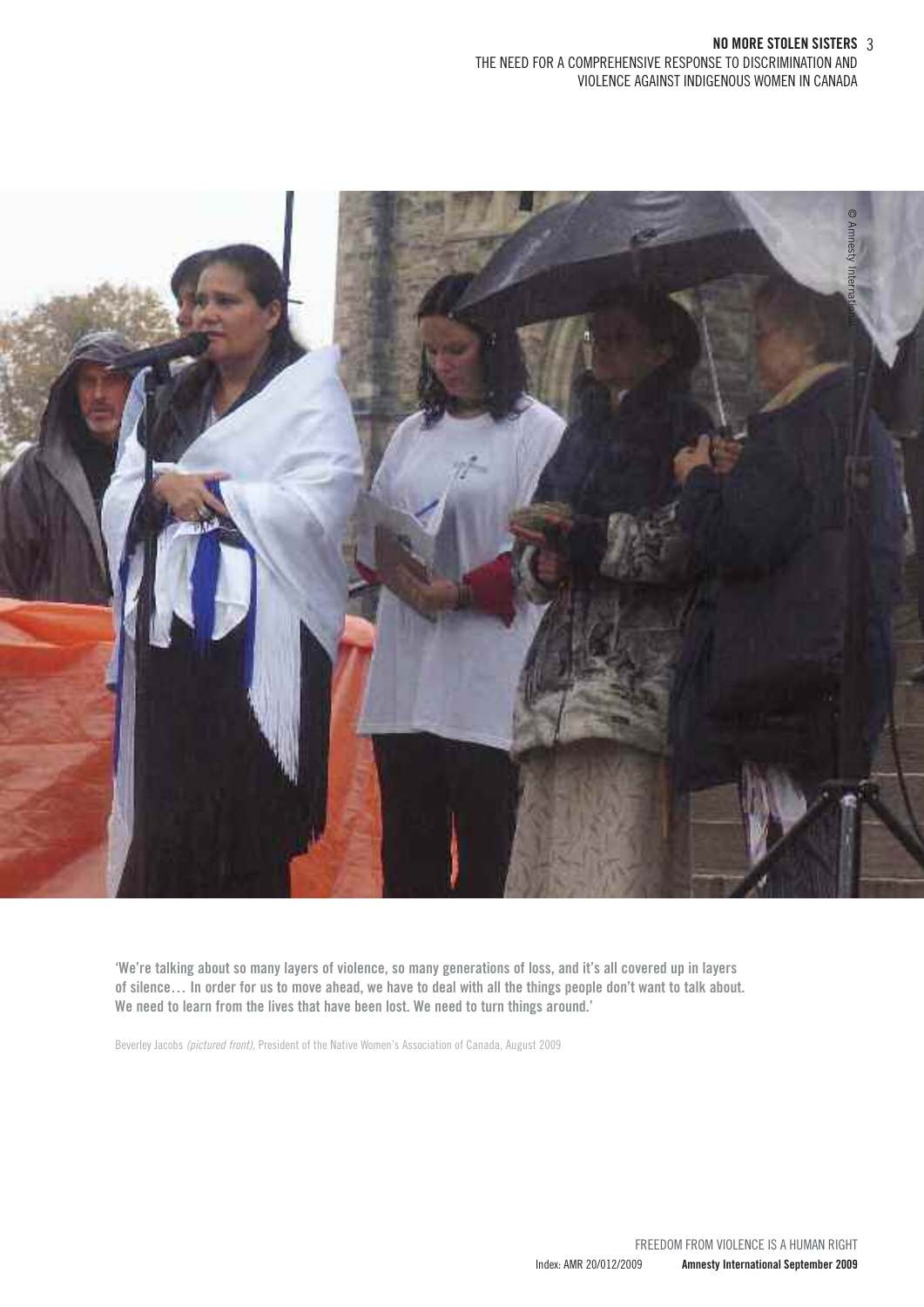THE NEED FOR A COMPREHENSIVE RESPONSE TO DISCRIMINATION AND VIOLENCE AGAINST INDIGENOUS WOMEN IN CANADA



'We're talking about so many layers of violence, so many generations of loss, and it's all covered up in layers of silence… In order for us to move ahead, we have to deal with all the things people don't want to talk about. We need to learn from the lives that have been lost. We need to turn things around.'

Beverley Jacobs *(pictured front),* President of the Native Women's Association of Canada, August 2009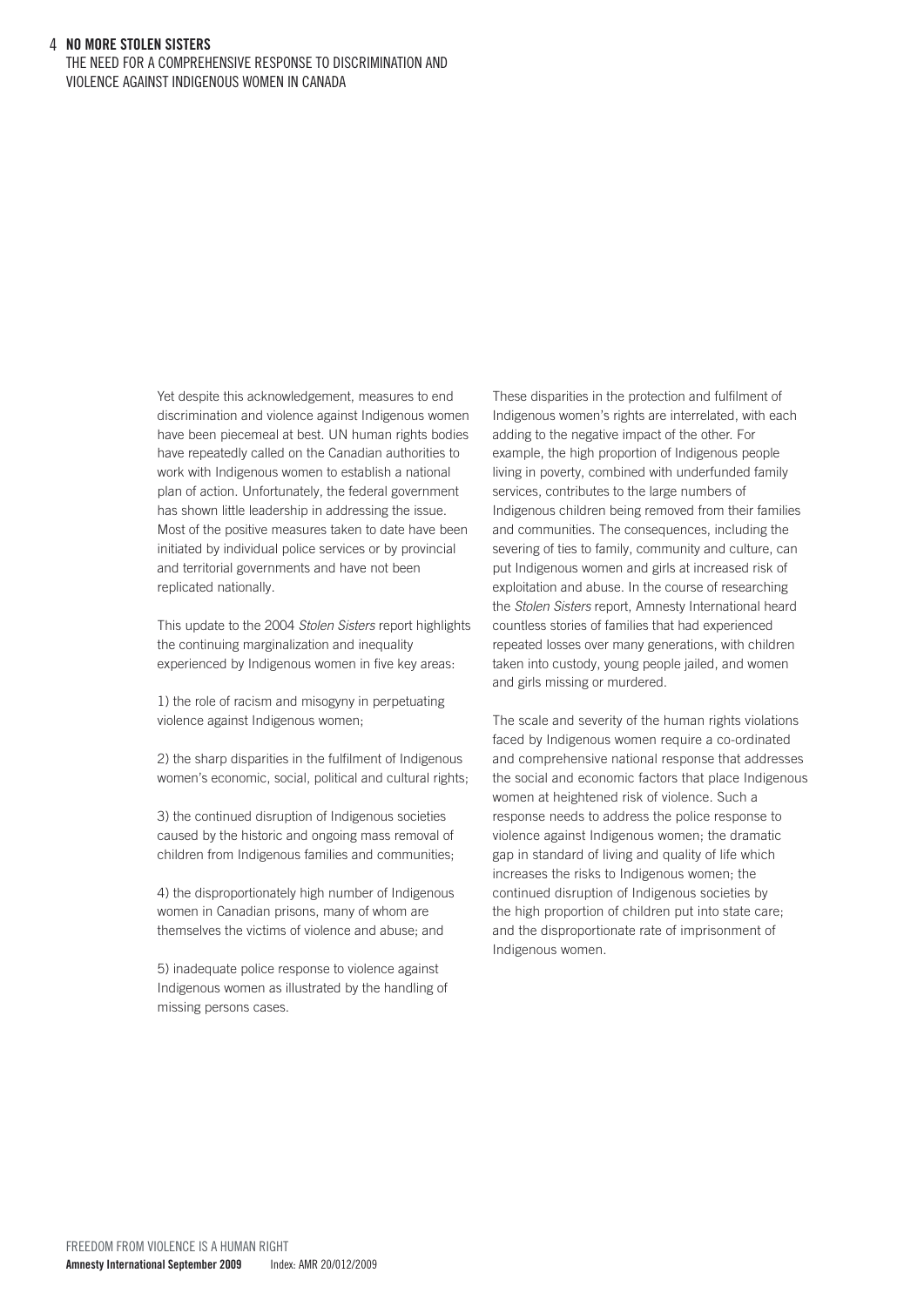THE NEED FOR A COMPREHENSIVE RESPONSE TO DISCRIMINATION AND VIOLENCE AGAINST INDIGENOUS WOMEN IN CANADA

> Yet despite this acknowledgement, measures to end discrimination and violence against Indigenous women have been piecemeal at best. UN human rights bodies have repeatedly called on the Canadian authorities to work with Indigenous women to establish a national plan of action. Unfortunately, the federal government has shown little leadership in addressing the issue. Most of the positive measures taken to date have been initiated by individual police services or by provincial and territorial governments and have not been replicated nationally.

> This update to the 2004 *Stolen Sisters* report highlights the continuing marginalization and inequality experienced by Indigenous women in five key areas:

1) the role of racism and misogyny in perpetuating violence against Indigenous women;

2) the sharp disparities in the fulfilment of Indigenous women's economic, social, political and cultural rights;

3) the continued disruption of Indigenous societies caused by the historic and ongoing mass removal of children from Indigenous families and communities;

4) the disproportionately high number of Indigenous women in Canadian prisons, many of whom are themselves the victims of violence and abuse; and

5) inadequate police response to violence against Indigenous women as illustrated by the handling of missing persons cases.

These disparities in the protection and fulfilment of Indigenous women's rights are interrelated, with each adding to the negative impact of the other. For example, the high proportion of Indigenous people living in poverty, combined with underfunded family services, contributes to the large numbers of Indigenous children being removed from their families and communities. The consequences, including the severing of ties to family, community and culture, can put Indigenous women and girls at increased risk of exploitation and abuse. In the course of researching the *Stolen Sisters* report, Amnesty International heard countless stories of families that had experienced repeated losses over many generations, with children taken into custody, young people jailed, and women and girls missing or murdered.

The scale and severity of the human rights violations faced by Indigenous women require a co-ordinated and comprehensive national response that addresses the social and economic factors that place Indigenous women at heightened risk of violence. Such a response needs to address the police response to violence against Indigenous women; the dramatic gap in standard of living and quality of life which increases the risks to Indigenous women; the continued disruption of Indigenous societies by the high proportion of children put into state care; and the disproportionate rate of imprisonment of Indigenous women.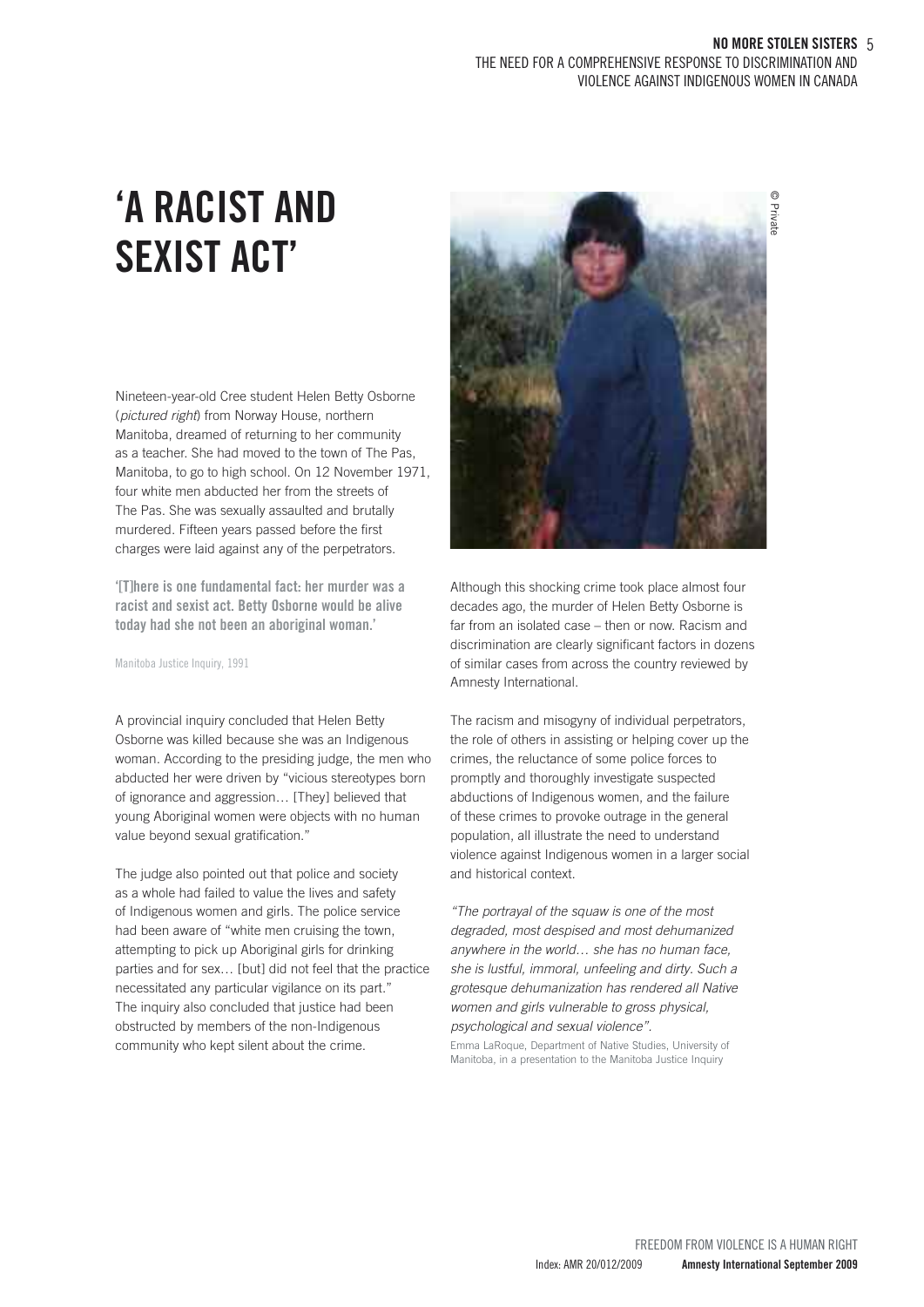### NO MORE STOLEN SISTERS 5 THE NEED FOR A COMPREHENSIVE RESPONSE TO DISCRIMINATION AND VIOLENCE AGAINST INDIGENOUS WOMEN IN CANADA

### 'A RACIST AND SEXIST ACT'

Nineteen-year-old Cree student Helen Betty Osborne (pictured right) from Norway House, northern Manitoba, dreamed of returning to her community as a teacher. She had moved to the town of The Pas, Manitoba, to go to high school. On 12 November 1971, four white men abducted her from the streets of The Pas. She was sexually assaulted and brutally murdered. Fifteen years passed before the first charges were laid against any of the perpetrators.

'[T]here is one fundamental fact: her murder was a racist and sexist act. Betty Osborne would be alive today had she not been an aboriginal woman.'

Manitoba Justice Inquiry, 1991

A provincial inquiry concluded that Helen Betty Osborne was killed because she was an Indigenous woman. According to the presiding judge, the men who abducted her were driven by "vicious stereotypes born of ignorance and aggression… [They] believed that young Aboriginal women were objects with no human value beyond sexual gratification."

The judge also pointed out that police and society as a whole had failed to value the lives and safety of Indigenous women and girls. The police service had been aware of "white men cruising the town, attempting to pick up Aboriginal girls for drinking parties and for sex… [but] did not feel that the practice necessitated any particular vigilance on its part." The inquiry also concluded that justice had been obstructed by members of the non-Indigenous community who kept silent about the crime.



Although this shocking crime took place almost four decades ago, the murder of Helen Betty Osborne is far from an isolated case – then or now. Racism and discrimination are clearly significant factors in dozens of similar cases from across the country reviewed by Amnesty International.

The racism and misogyny of individual perpetrators, the role of others in assisting or helping cover up the crimes, the reluctance of some police forces to promptly and thoroughly investigate suspected abductions of Indigenous women, and the failure of these crimes to provoke outrage in the general population, all illustrate the need to understand violence against Indigenous women in a larger social and historical context.

"The portrayal of the squaw is one of the most degraded, most despised and most dehumanized anywhere in the world… she has no human face, she is lustful, immoral, unfeeling and dirty. Such a grotesque dehumanization has rendered all Native women and girls vulnerable to gross physical, psychological and sexual violence".

Emma LaRoque, Department of Native Studies, University of Manitoba, in a presentation to the Manitoba Justice Inquiry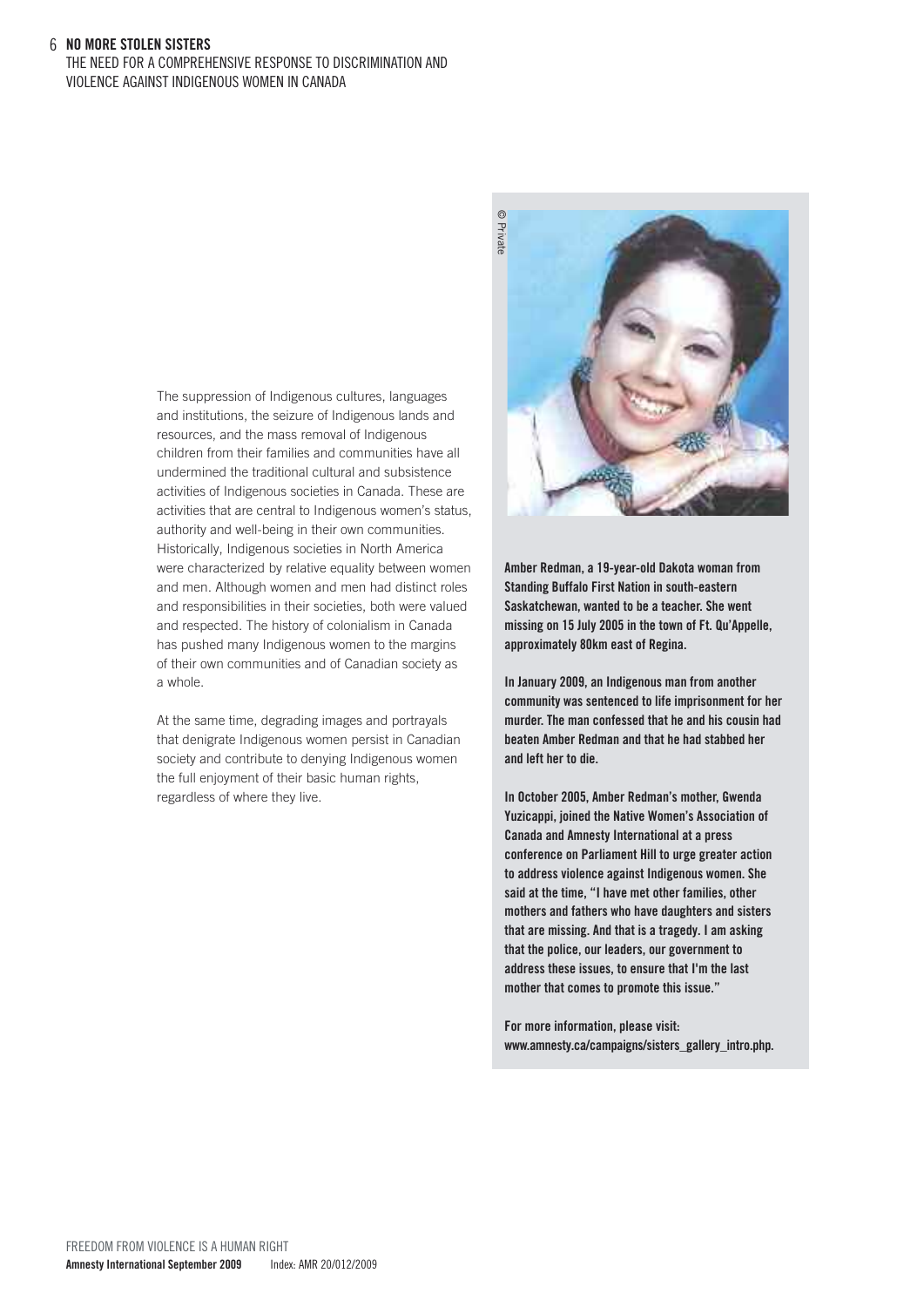THE NEED FOR A COMPREHENSIVE RESPONSE TO DISCRIMINATION AND VIOLENCE AGAINST INDIGENOUS WOMEN IN CANADA

> The suppression of Indigenous cultures, languages and institutions, the seizure of Indigenous lands and resources, and the mass removal of Indigenous children from their families and communities have all undermined the traditional cultural and subsistence activities of Indigenous societies in Canada. These are activities that are central to Indigenous women's status, authority and well-being in their own communities. Historically, Indigenous societies in North America were characterized by relative equality between women and men. Although women and men had distinct roles and responsibilities in their societies, both were valued and respected. The history of colonialism in Canada has pushed many Indigenous women to the margins of their own communities and of Canadian society as a whole.

At the same time, degrading images and portrayals that denigrate Indigenous women persist in Canadian society and contribute to denying Indigenous women the full enjoyment of their basic human rights, regardless of where they live.



Amber Redman, a 19-year-old Dakota woman from Standing Buffalo First Nation in south-eastern Saskatchewan, wanted to be a teacher. She went missing on 15 July 2005 in the town of Ft. Qu'Appelle, approximately 80km east of Regina.

In January 2009, an Indigenous man from another community was sentenced to life imprisonment for her murder. The man confessed that he and his cousin had beaten Amber Redman and that he had stabbed her and left her to die.

In October 2005, Amber Redman's mother, Gwenda Yuzicappi, joined the Native Women's Association of Canada and Amnesty International at a press conference on Parliament Hill to urge greater action to address violence against Indigenous women. She said at the time, "I have met other families, other mothers and fathers who have daughters and sisters that are missing. And that is a tragedy. I am asking that the police, our leaders, our government to address these issues, to ensure that I'm the last mother that comes to promote this issue."

For more information, please visit: www.amnesty.ca/campaigns/sisters\_gallery\_intro.php.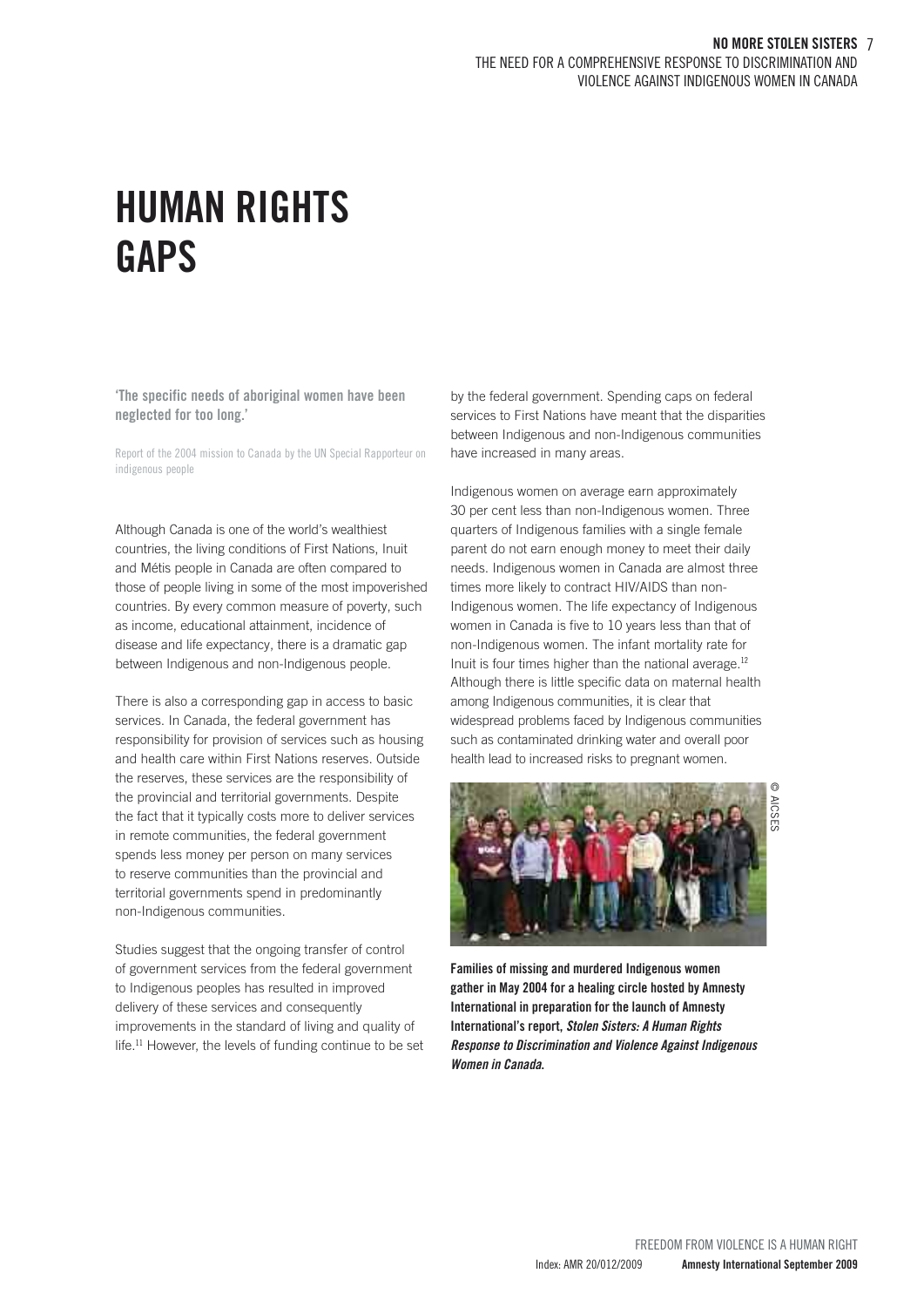### HUMAN RIGHTS **GAPS**

'The specific needs of aboriginal women have been neglected for too long.'

Report of the 2004 mission to Canada by the UN Special Rapporteur on indigenous people

Although Canada is one of the world's wealthiest countries, the living conditions of First Nations, Inuit and Métis people in Canada are often compared to those of people living in some of the most impoverished countries. By every common measure of poverty, such as income, educational attainment, incidence of disease and life expectancy, there is a dramatic gap between Indigenous and non-Indigenous people.

There is also a corresponding gap in access to basic services. In Canada, the federal government has responsibility for provision of services such as housing and health care within First Nations reserves. Outside the reserves, these services are the responsibility of the provincial and territorial governments. Despite the fact that it typically costs more to deliver services in remote communities, the federal government spends less money per person on many services to reserve communities than the provincial and territorial governments spend in predominantly non-Indigenous communities.

Studies suggest that the ongoing transfer of control of government services from the federal government to Indigenous peoples has resulted in improved delivery of these services and consequently improvements in the standard of living and quality of life.<sup>11</sup> However, the levels of funding continue to be set

by the federal government. Spending caps on federal services to First Nations have meant that the disparities between Indigenous and non-Indigenous communities have increased in many areas.

Indigenous women on average earn approximately 30 per cent less than non-Indigenous women. Three quarters of Indigenous families with a single female parent do not earn enough money to meet their daily needs. Indigenous women in Canada are almost three times more likely to contract HIV/AIDS than non-Indigenous women. The life expectancy of Indigenous women in Canada is five to 10 years less than that of non-Indigenous women. The infant mortality rate for Inuit is four times higher than the national average. 12 Although there is little specific data on maternal health among Indigenous communities, it is clear that widespread problems faced by Indigenous communities such as contaminated drinking water and overall poor health lead to increased risks to pregnant women.



Families of missing and murdered Indigenous women gather in May 2004 for a healing circle hosted by Amnesty International in preparation for the launch of Amnesty International's report, *Stolen Sisters: A Human Rights Response to Discrimination and Violence Against Indigenous Women in Canada*.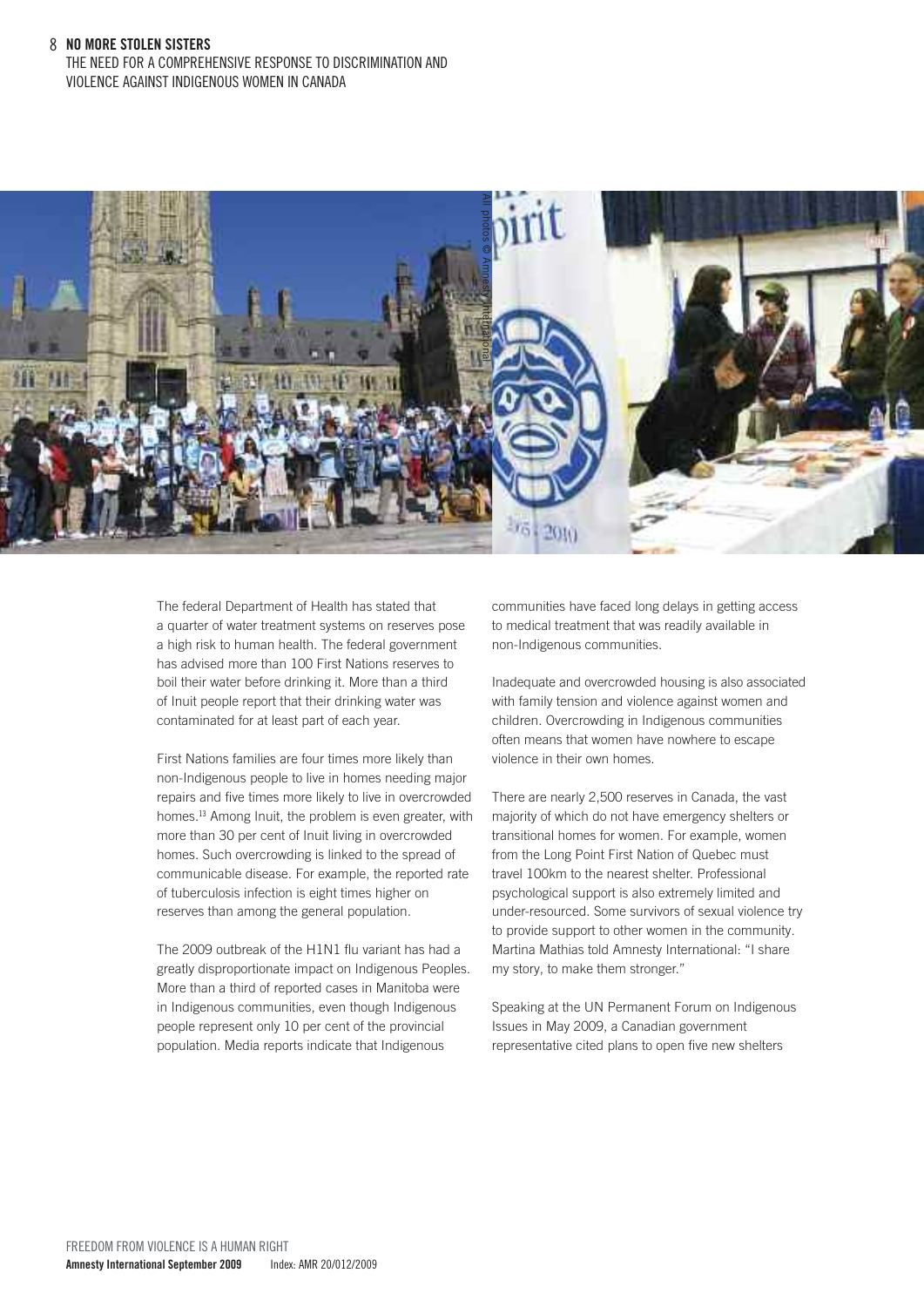THE NEED FOR A COMPREHENSIVE RESPONSE TO DISCRIMINATION AND VIOLENCE AGAINST INDIGENOUS WOMEN IN CANADA



The federal Department of Health has stated that a quarter of water treatment systems on reserves pose a high risk to human health. The federal government has advised more than 100 First Nations reserves to boil their water before drinking it. More than a third of Inuit people report that their drinking water was contaminated for at least part of each year.

First Nations families are four times more likely than non-Indigenous people to live in homes needing major repairs and five times more likely to live in overcrowded homes. <sup>13</sup> Among Inuit, the problem is even greater, with more than 30 per cent of Inuit living in overcrowded homes. Such overcrowding is linked to the spread of communicable disease. For example, the reported rate of tuberculosis infection is eight times higher on reserves than among the general population.

The 2009 outbreak of the H1N1 flu variant has had a greatly disproportionate impact on Indigenous Peoples. More than a third of reported cases in Manitoba were in Indigenous communities, even though Indigenous people represent only 10 per cent of the provincial population. Media reports indicate that Indigenous

communities have faced long delays in getting access to medical treatment that was readily available in non-Indigenous communities.

Inadequate and overcrowded housing is also associated with family tension and violence against women and children. Overcrowding in Indigenous communities often means that women have nowhere to escape violence in their own homes.

There are nearly 2,500 reserves in Canada, the vast majority of which do not have emergency shelters or transitional homes for women. For example, women from the Long Point First Nation of Quebec must travel 100km to the nearest shelter. Professional psychological support is also extremely limited and under-resourced. Some survivors of sexual violence try to provide support to other women in the community. Martina Mathias told Amnesty International: "I share my story, to make them stronger."

Speaking at the UN Permanent Forum on Indigenous Issues in May 2009, a Canadian government representative cited plans to open five new shelters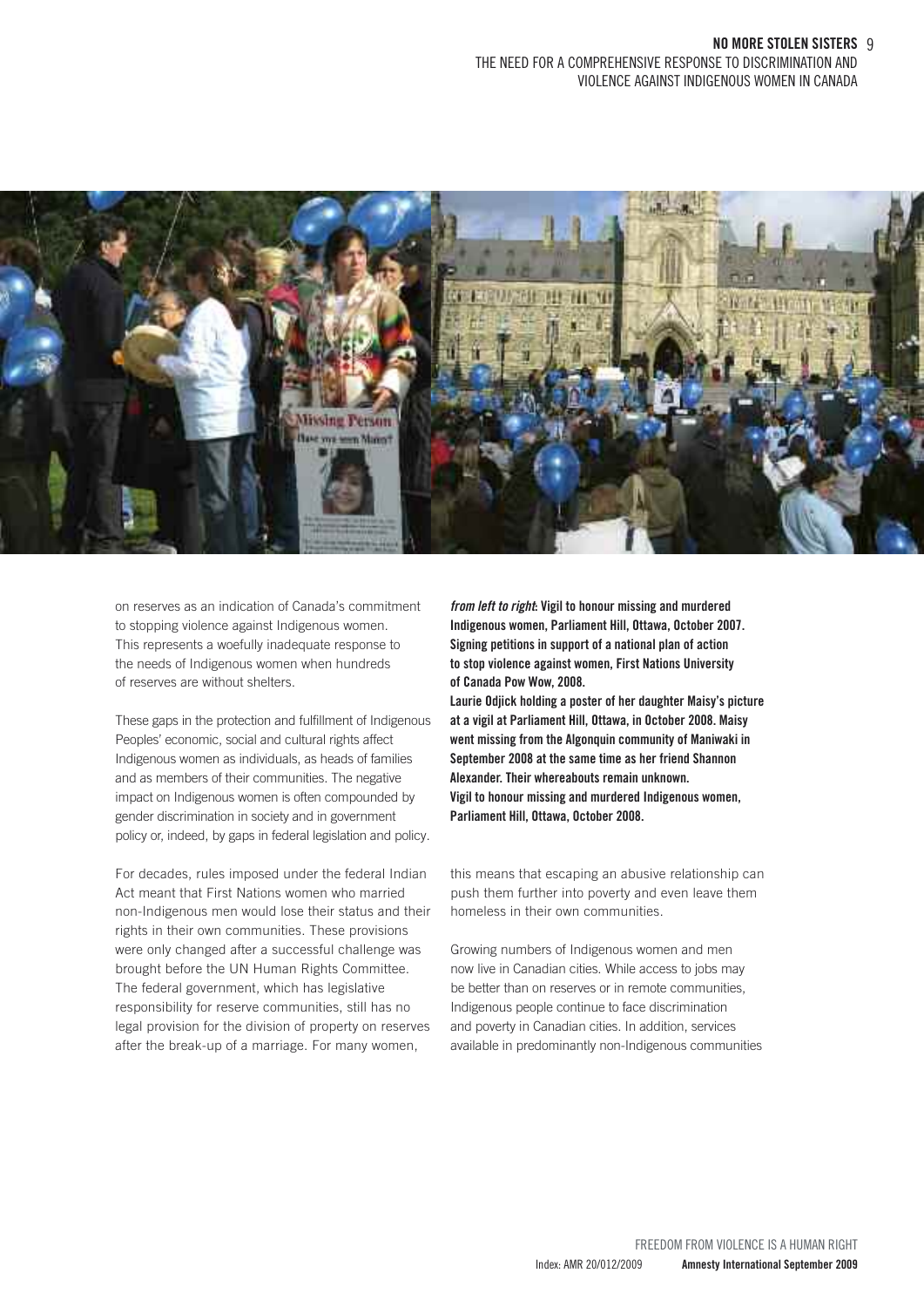### NO MORE STOLEN SISTERS 9 THE NEED FOR A COMPREHENSIVE RESPONSE TO DISCRIMINATION AND VIOLENCE AGAINST INDIGENOUS WOMEN IN CANADA



on reserves as an indication of Canada's commitment to stopping violence against Indigenous women. This represents a woefully inadequate response to the needs of Indigenous women when hundreds of reserves are without shelters.

These gaps in the protection and fulfillment of Indigenous Peoples' economic, social and cultural rights affect Indigenous women as individuals, as heads of families and as members of their communities. The negative impact on Indigenous women is often compounded by gender discrimination in society and in government policy or, indeed, by gaps in federal legislation and policy.

For decades, rules imposed under the federal Indian Act meant that First Nations women who married non-Indigenous men would lose their status and their rights in their own communities. These provisions were only changed after a successful challenge was brought before the UN Human Rights Committee. The federal government, which has legislative responsibility for reserve communities, still has no legal provision for the division of property on reserves after the break-up of a marriage. For many women,

*from left to right*: Vigil to honour missing and murdered Indigenous women, Parliament Hill, Ottawa, October 2007. Signing petitions in support of a national plan of action to stop violence against women, First Nations University of Canada Pow Wow, 2008.

Laurie Odjick holding a poster of her daughter Maisy's picture at a vigil at Parliament Hill, Ottawa, in October 2008. Maisy went missing from the Algonquin community of Maniwaki in September 2008 at the same time as her friend Shannon Alexander. Their whereabouts remain unknown. Vigil to honour missing and murdered Indigenous women, Parliament Hill, Ottawa, October 2008.

this means that escaping an abusive relationship can push them further into poverty and even leave them homeless in their own communities.

Growing numbers of Indigenous women and men now live in Canadian cities. While access to jobs may be better than on reserves or in remote communities, Indigenous people continue to face discrimination and poverty in Canadian cities. In addition, services available in predominantly non-Indigenous communities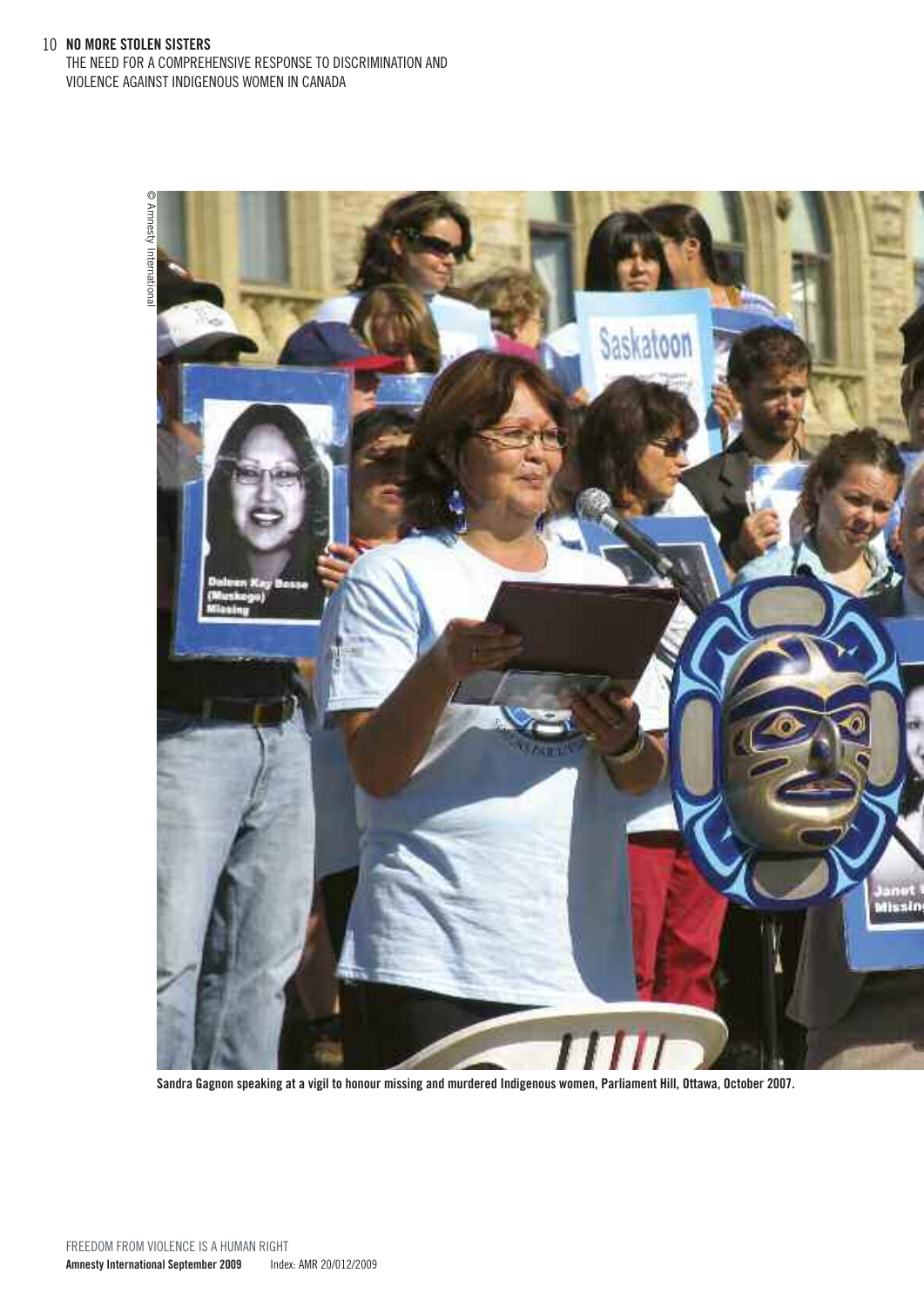THE NEED FOR A COMPREHENSIVE RESPONSE TO DISCRIMINATION AND VIOLENCE AGAINST INDIGENOUS WOMEN IN CANADA



Sandra Gagnon speaking at a vigil to honour missing and murdered Indigenous women, Parliament Hill, Ottawa, October 2007.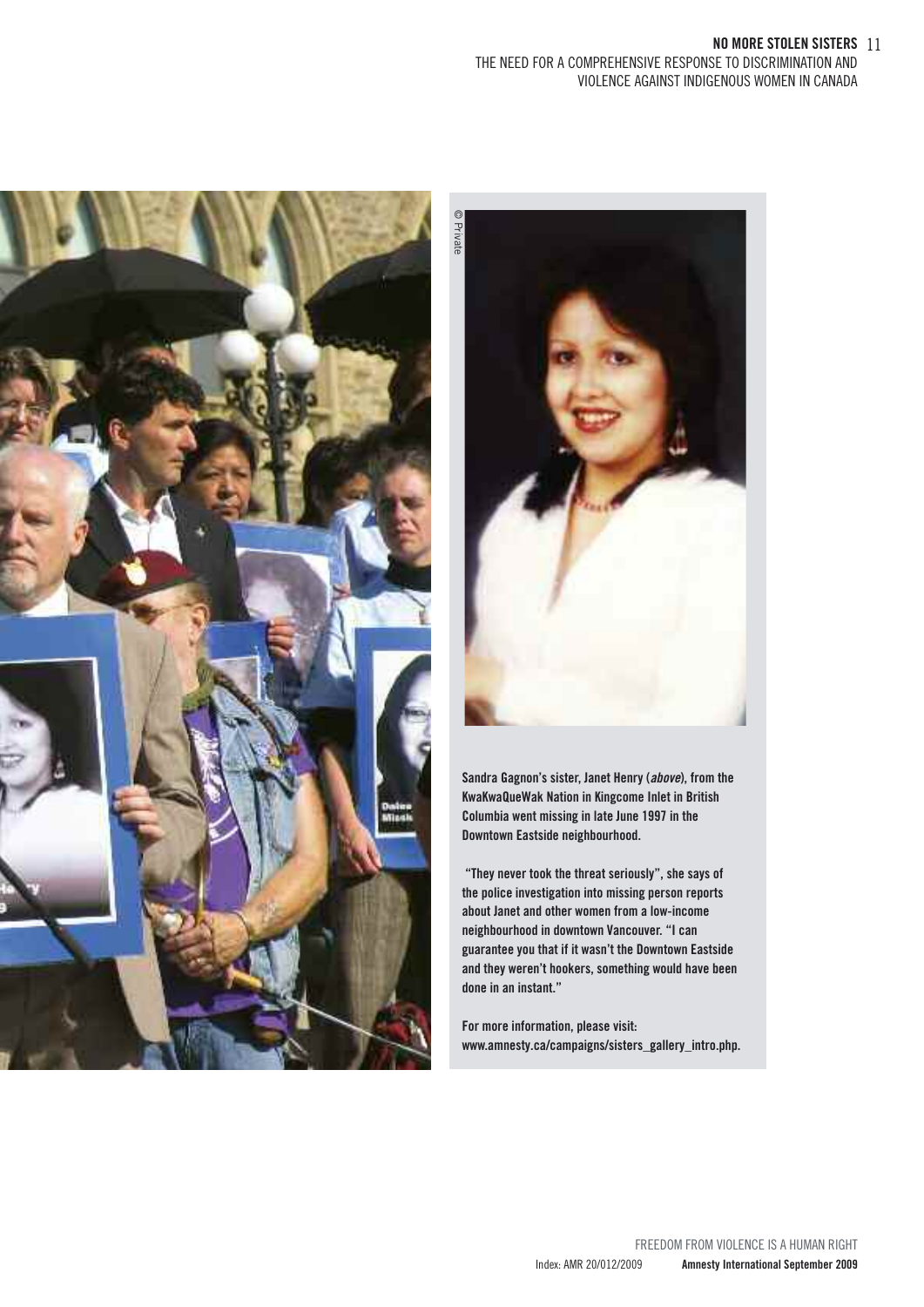### NO MORE STOLEN SISTERS 11 THE NEED FOR A COMPREHENSIVE RESPONSE TO DISCRIMINATION AND VIOLENCE AGAINST INDIGENOUS WOMEN IN CANADA





Sandra Gagnon's sister, Janet Henry (*above*), from the KwaKwaQueWak Nation in Kingcome Inlet in British Columbia went missing in late June 1997 in the Downtown Eastside neighbourhood.

"They never took the threat seriously", she says of the police investigation into missing person reports about Janet and other women from a low-income neighbourhood in downtown Vancouver. "I can guarantee you that if it wasn't the Downtown Eastside and they weren't hookers, something would have been done in an instant."

For more information, please visit: www.amnesty.ca/campaigns/sisters\_gallery\_intro.php.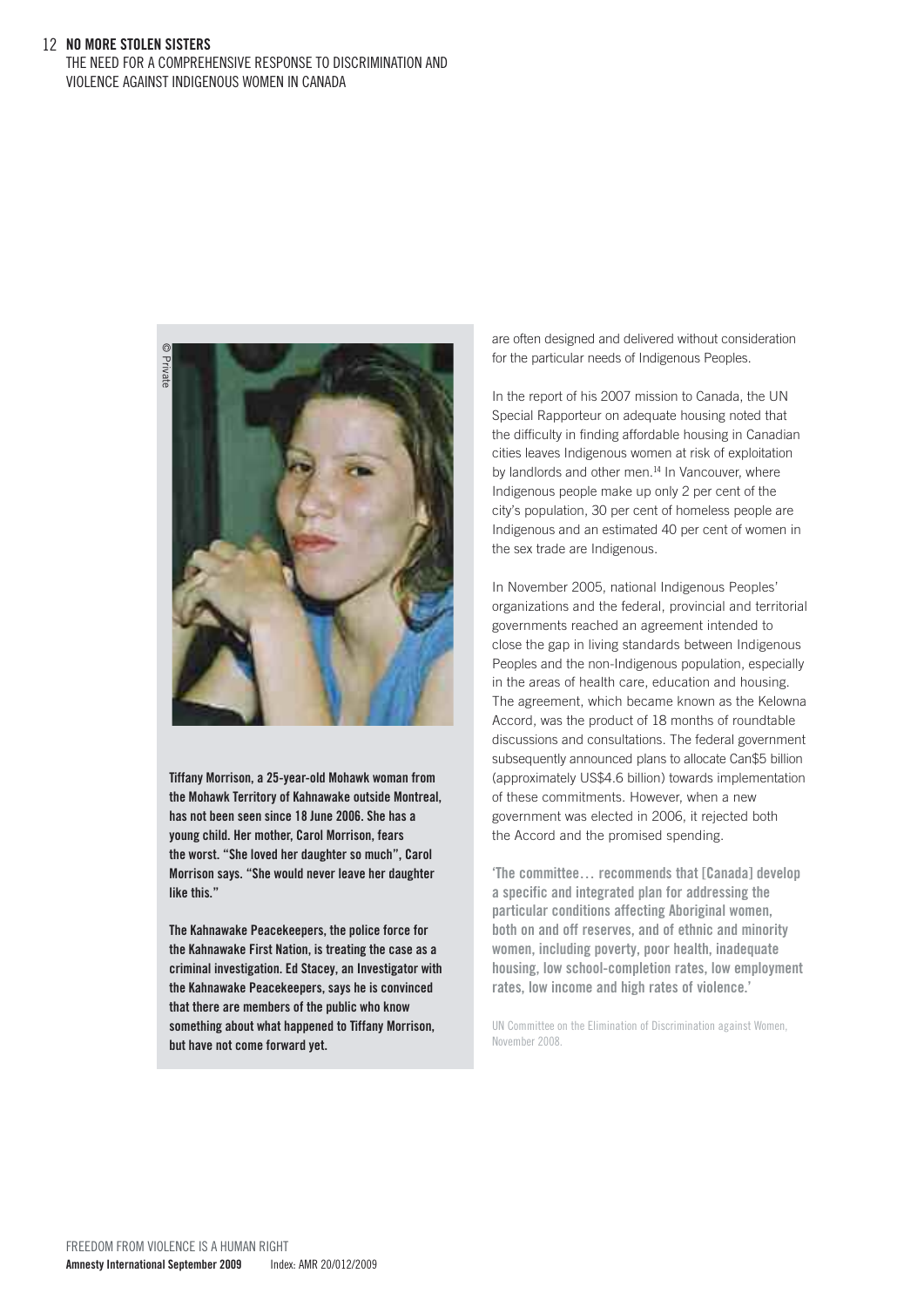THE NEED FOR A COMPREHENSIVE RESPONSE TO DISCRIMINATION AND VIOLENCE AGAINST INDIGENOUS WOMEN IN CANADA



Tiffany Morrison, a 25-year-old Mohawk woman from the Mohawk Territory of Kahnawake outside Montreal, has not been seen since 18 June 2006. She has a young child. Her mother, Carol Morrison, fears the worst. "She loved her daughter so much", Carol Morrison says. "She would never leave her daughter like this."

The Kahnawake Peacekeepers, the police force for the Kahnawake First Nation, is treating the case as a criminal investigation. Ed Stacey, an Investigator with the Kahnawake Peacekeepers, says he is convinced that there are members of the public who know something about what happened to Tiffany Morrison, but have not come forward yet.

are often designed and delivered without consideration for the particular needs of Indigenous Peoples.

In the report of his 2007 mission to Canada, the UN Special Rapporteur on adequate housing noted that the difficulty in finding affordable housing in Canadian cities leaves Indigenous women at risk of exploitation by landlords and other men.<sup>14</sup> In Vancouver, where Indigenous people make up only 2 per cent of the city's population, 30 per cent of homeless people are Indigenous and an estimated 40 per cent of women in the sex trade are Indigenous.

In November 2005, national Indigenous Peoples' organizations and the federal, provincial and territorial governments reached an agreement intended to close the gap in living standards between Indigenous Peoples and the non-Indigenous population, especially in the areas of health care, education and housing. The agreement, which became known as the Kelowna Accord, was the product of 18 months of roundtable discussions and consultations. The federal government subsequently announced plans to allocate Can\$5 billion (approximately US\$4.6 billion) towards implementation of these commitments. However, when a new government was elected in 2006, it rejected both the Accord and the promised spending.

'The committee… recommends that [Canada] develop a specific and integrated plan for addressing the particular conditions affecting Aboriginal women, both on and off reserves, and of ethnic and minority women, including poverty, poor health, inadequate housing, low school-completion rates, low employment rates, low income and high rates of violence.'

UN Committee on the Elimination of Discrimination against Women, November 2008.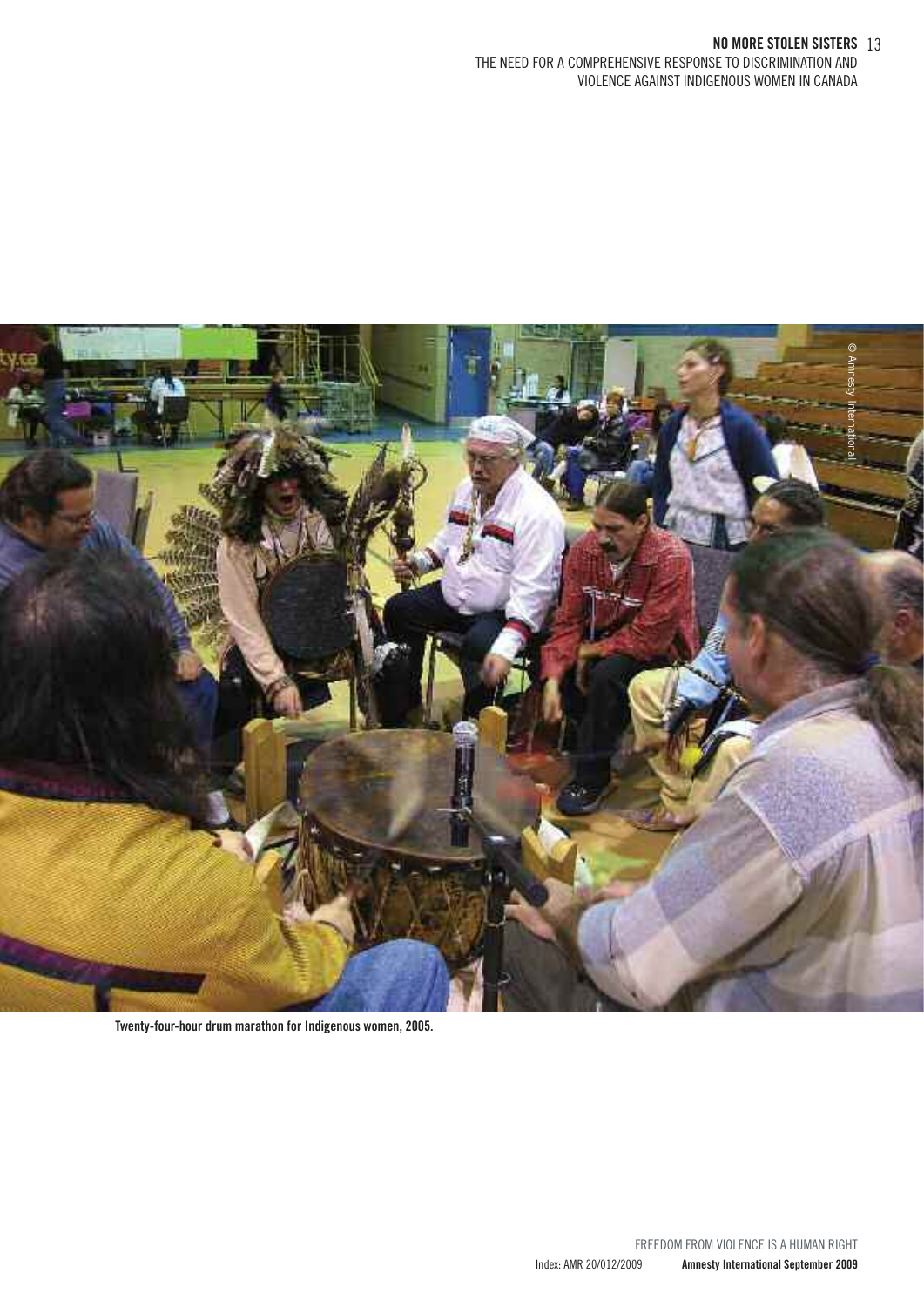THE NEED FOR A COMPREHENSIVE RESPONSE TO DISCRIMINATION AND VIOLENCE AGAINST INDIGENOUS WOMEN IN CANADA



Twenty-four-hour drum marathon for Indigenous women, 2005.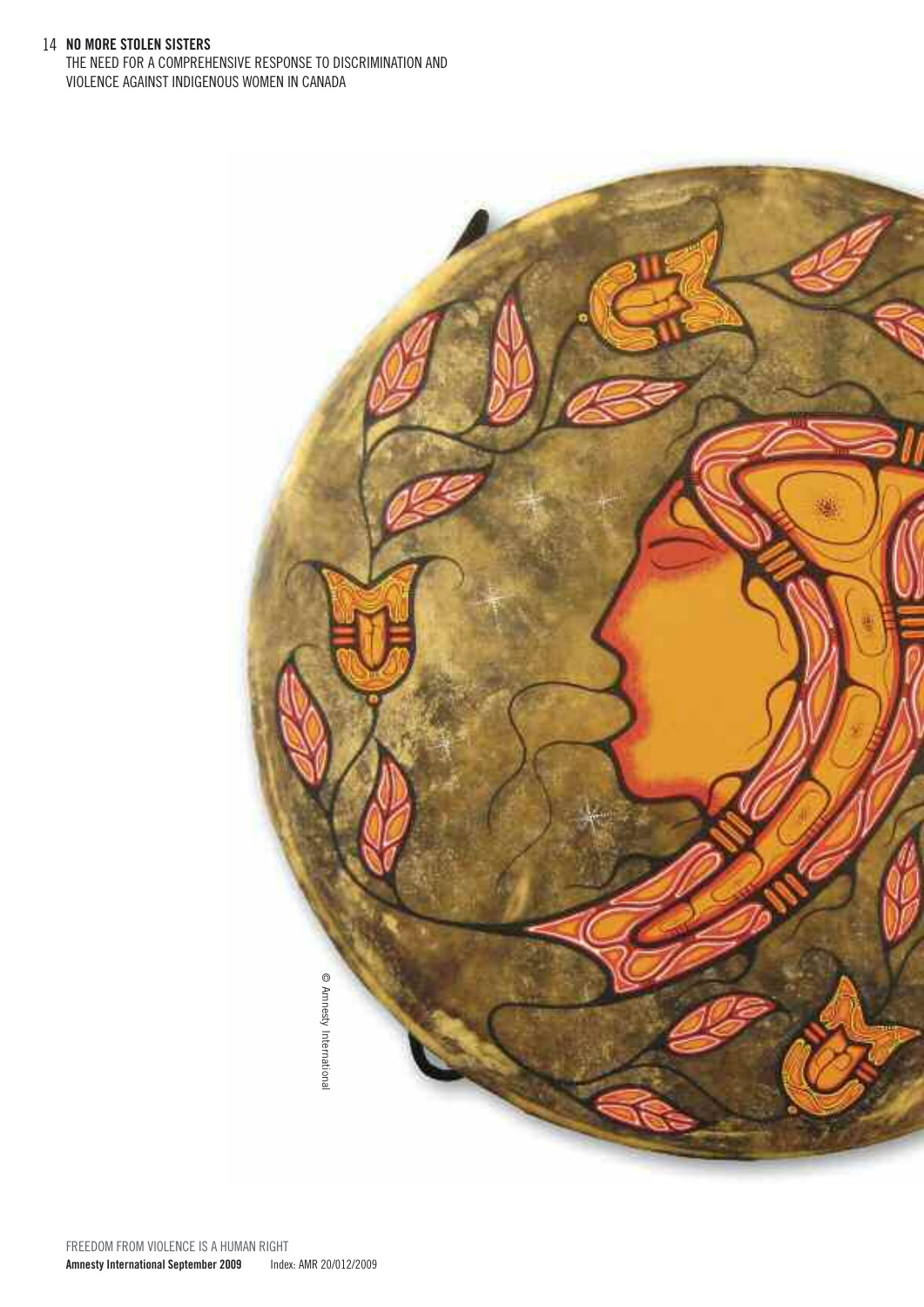THE NEED FOR A COMPREHENSIVE RESPONSE TO DISCRIMINATION AND VIOLENCE AGAINST INDIGENOUS WOMEN IN CANADA

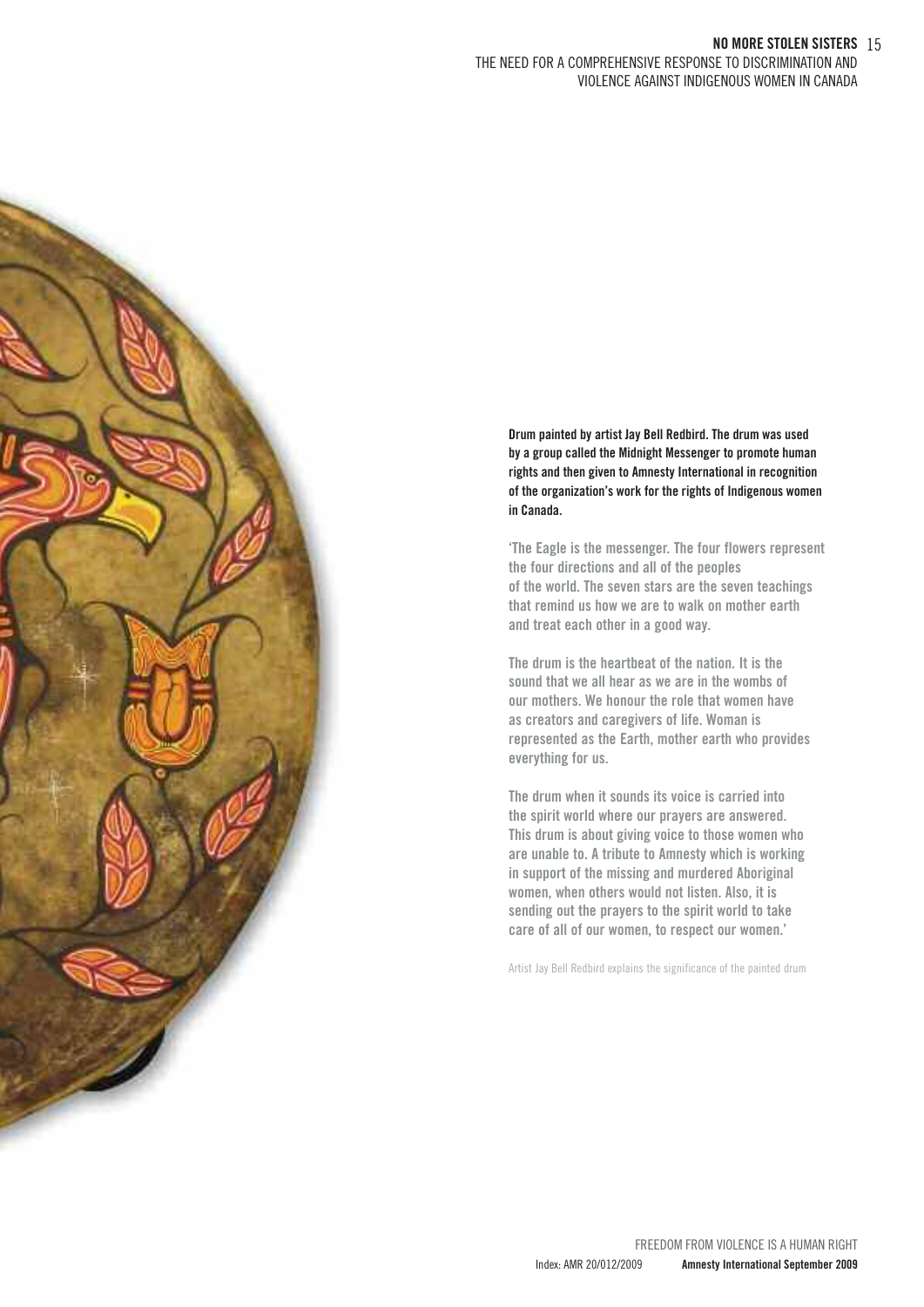THE NEED FOR A COMPREHENSIVE RESPONSE TO DISCRIMINATION AND VIOLENCE AGAINST INDIGENOUS WOMEN IN CANADA



Drum painted by artist Jay Bell Redbird. The drum was used by a group called the Midnight Messenger to promote human rights and then given to Amnesty International in recognition of the organization's work for the rights of Indigenous women in Canada.

'The Eagle is the messenger. The four flowers represent the four directions and all of the peoples of the world. The seven stars are the seven teachings that remind us how we are to walk on mother earth and treat each other in a good way.

The drum is the heartbeat of the nation. It is the sound that we all hear as we are in the wombs of our mothers. We honour the role that women have as creators and caregivers of life. Woman is represented as the Earth, mother earth who provides everything for us.

The drum when it sounds its voice is carried into the spirit world where our prayers are answered. This drum is about giving voice to those women who are unable to. A tribute to Amnesty which is working in support of the missing and murdered Aboriginal women, when others would not listen. Also, it is sending out the prayers to the spirit world to take care of all of our women, to respect our women.'

Artist Jay Bell Redbird explains the significance of the painted drum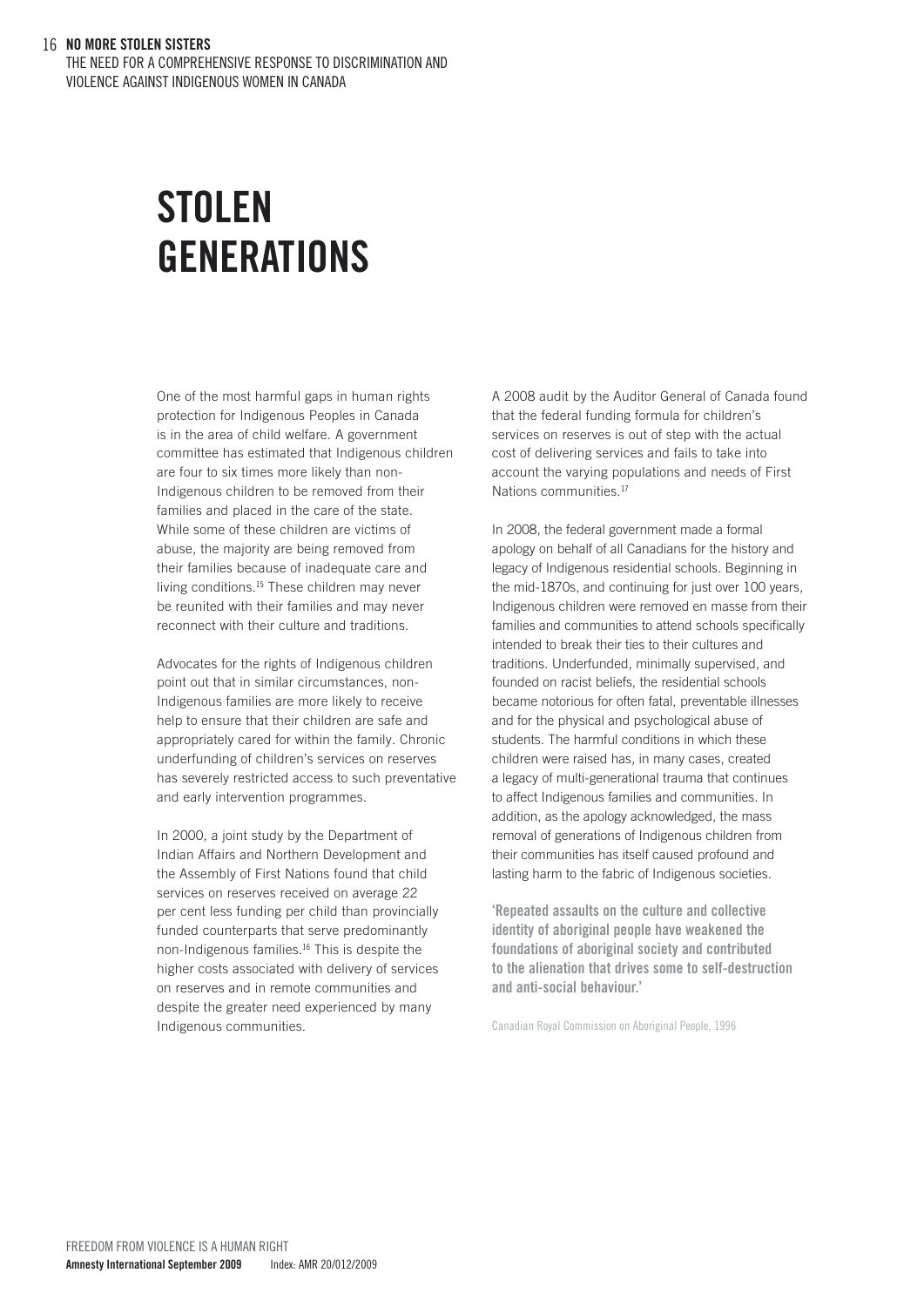THE NEED FOR A COMPREHENSIVE RESPONSE TO DISCRIMINATION AND VIOLENCE AGAINST INDIGENOUS WOMEN IN CANADA

### **STOLEN GENERATIONS**

One of the most harmful gaps in human rights protection for Indigenous Peoples in Canada is in the area of child welfare. A government committee has estimated that Indigenous children are four to six times more likely than non-Indigenous children to be removed from their families and placed in the care of the state. While some of these children are victims of abuse, the majority are being removed from their families because of inadequate care and living conditions.<sup>15</sup> These children may never be reunited with their families and may never reconnect with their culture and traditions.

Advocates for the rights of Indigenous children point out that in similar circumstances, non-Indigenous families are more likely to receive help to ensure that their children are safe and appropriately cared for within the family. Chronic underfunding of children's services on reserves has severely restricted access to such preventative and early intervention programmes.

In 2000, a joint study by the Department of Indian Affairs and Northern Development and the Assembly of First Nations found that child services on reserves received on average 22 per cent less funding per child than provincially funded counterparts that serve predominantly non-Indigenous families. <sup>16</sup> This is despite the higher costs associated with delivery of services on reserves and in remote communities and despite the greater need experienced by many Indigenous communities.

A 2008 audit by the Auditor General of Canada found that the federal funding formula for children's services on reserves is out of step with the actual cost of delivering services and fails to take into account the varying populations and needs of First Nations communities. 17

In 2008, the federal government made a formal apology on behalf of all Canadians for the history and legacy of Indigenous residential schools. Beginning in the mid-1870s, and continuing for just over 100 years, Indigenous children were removed en masse from their families and communities to attend schools specifically intended to break their ties to their cultures and traditions. Underfunded, minimally supervised, and founded on racist beliefs, the residential schools became notorious for often fatal, preventable illnesses and for the physical and psychological abuse of students. The harmful conditions in which these children were raised has, in many cases, created a legacy of multi-generational trauma that continues to affect Indigenous families and communities. In addition, as the apology acknowledged, the mass removal of generations of Indigenous children from their communities has itself caused profound and lasting harm to the fabric of Indigenous societies.

'Repeated assaults on the culture and collective identity of aboriginal people have weakened the foundations of aboriginal society and contributed to the alienation that drives some to self-destruction and anti-social behaviour.'

Canadian Royal Commission on Aboriginal People, 1996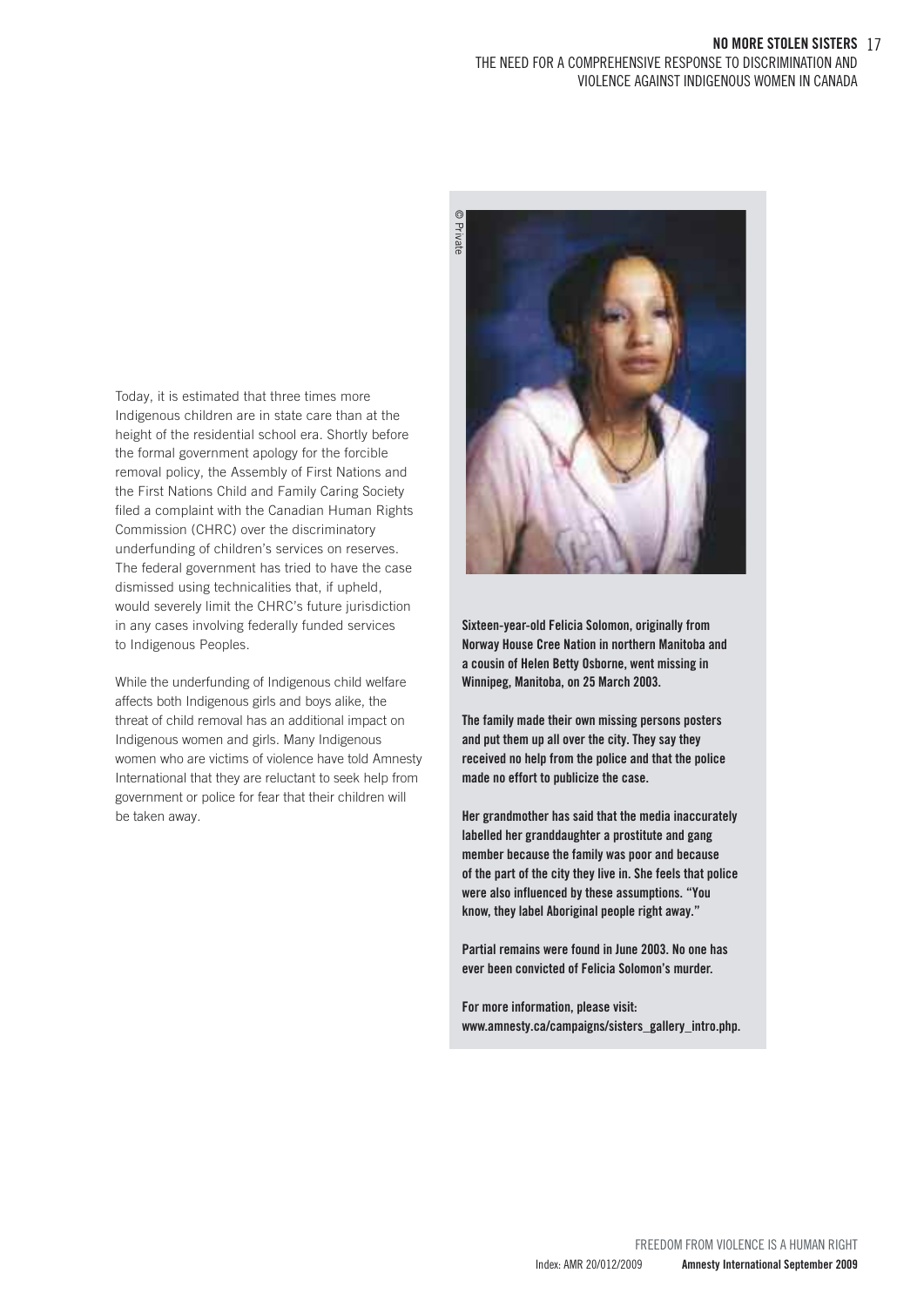### THE NEED FOR A COMPREHENSIVE RESPONSE TO DISCRIMINATION AND VIOLENCE AGAINST INDIGENOUS WOMEN IN CANADA

Today, it is estimated that three times more Indigenous children are in state care than at the height of the residential school era. Shortly before the formal government apology for the forcible removal policy, the Assembly of First Nations and the First Nations Child and Family Caring Society filed a complaint with the Canadian Human Rights Commission (CHRC) over the discriminatory underfunding of children's services on reserves. The federal government has tried to have the case dismissed using technicalities that, if upheld, would severely limit the CHRC's future jurisdiction in any cases involving federally funded services to Indigenous Peoples.

While the underfunding of Indigenous child welfare affects both Indigenous girls and boys alike, the threat of child removal has an additional impact on Indigenous women and girls. Many Indigenous women who are victims of violence have told Amnesty International that they are reluctant to seek help from government or police for fear that their children will be taken away.



Sixteen-year-old Felicia Solomon, originally from Norway House Cree Nation in northern Manitoba and a cousin of Helen Betty Osborne, went missing in Winnipeg, Manitoba, on 25 March 2003.

The family made their own missing persons posters and put them up all over the city. They say they received no help from the police and that the police made no effort to publicize the case.

Her grandmother has said that the media inaccurately labelled her granddaughter a prostitute and gang member because the family was poor and because of the part of the city they live in. She feels that police were also influenced by these assumptions. "You know, they label Aboriginal people right away."

Partial remains were found in June 2003. No one has ever been convicted of Felicia Solomon's murder.

For more information, please visit: www.amnesty.ca/campaigns/sisters\_gallery\_intro.php.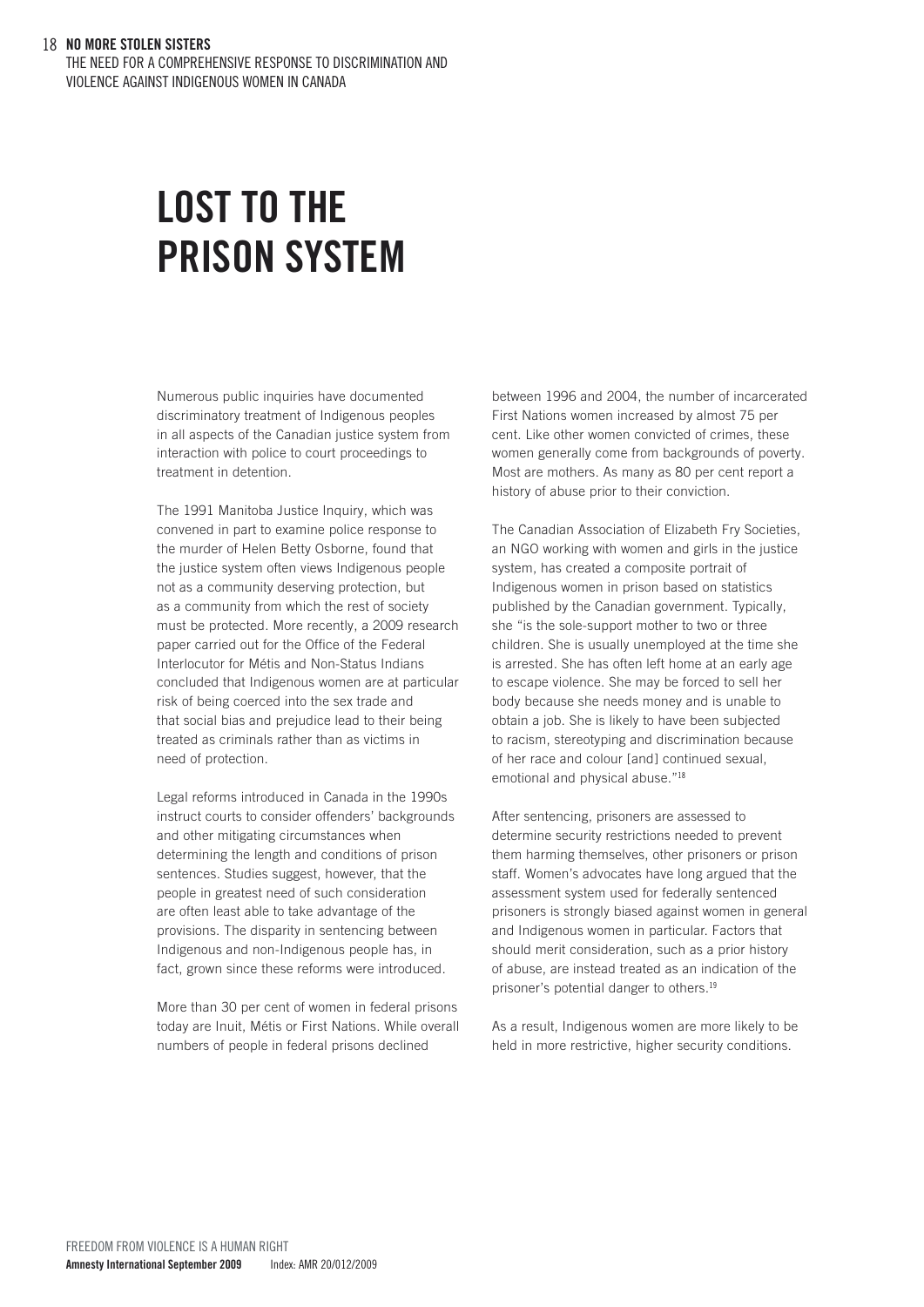THE NEED FOR A COMPREHENSIVE RESPONSE TO DISCRIMINATION AND VIOLENCE AGAINST INDIGENOUS WOMEN IN CANADA

### LOST TO THE PRISON SYSTEM

Numerous public inquiries have documented discriminatory treatment of Indigenous peoples in all aspects of the Canadian justice system from interaction with police to court proceedings to treatment in detention.

The 1991 Manitoba Justice Inquiry, which was convened in part to examine police response to the murder of Helen Betty Osborne, found that the justice system often views Indigenous people not as a community deserving protection, but as a community from which the rest of society must be protected. More recently, a 2009 research paper carried out for the Office of the Federal Interlocutor for Métis and Non-Status Indians concluded that Indigenous women are at particular risk of being coerced into the sex trade and that social bias and prejudice lead to their being treated as criminals rather than as victims in need of protection.

Legal reforms introduced in Canada in the 1990s instruct courts to consider offenders' backgrounds and other mitigating circumstances when determining the length and conditions of prison sentences. Studies suggest, however, that the people in greatest need of such consideration are often least able to take advantage of the provisions. The disparity in sentencing between Indigenous and non-Indigenous people has, in fact, grown since these reforms were introduced.

More than 30 per cent of women in federal prisons today are Inuit, Métis or First Nations. While overall numbers of people in federal prisons declined

between 1996 and 2004, the number of incarcerated First Nations women increased by almost 75 per cent. Like other women convicted of crimes, these women generally come from backgrounds of poverty. Most are mothers. As many as 80 per cent report a history of abuse prior to their conviction.

The Canadian Association of Elizabeth Fry Societies, an NGO working with women and girls in the justice system, has created a composite portrait of Indigenous women in prison based on statistics published by the Canadian government. Typically, she "is the sole-support mother to two or three children. She is usually unemployed at the time she is arrested. She has often left home at an early age to escape violence. She may be forced to sell her body because she needs money and is unable to obtain a job. She is likely to have been subjected to racism, stereotyping and discrimination because of her race and colour [and] continued sexual, emotional and physical abuse."<sup>18</sup>

After sentencing, prisoners are assessed to determine security restrictions needed to prevent them harming themselves, other prisoners or prison staff. Women's advocates have long argued that the assessment system used for federally sentenced prisoners is strongly biased against women in general and Indigenous women in particular. Factors that should merit consideration, such as a prior history of abuse, are instead treated as an indication of the prisoner's potential danger to others.<sup>19</sup>

As a result, Indigenous women are more likely to be held in more restrictive, higher security conditions.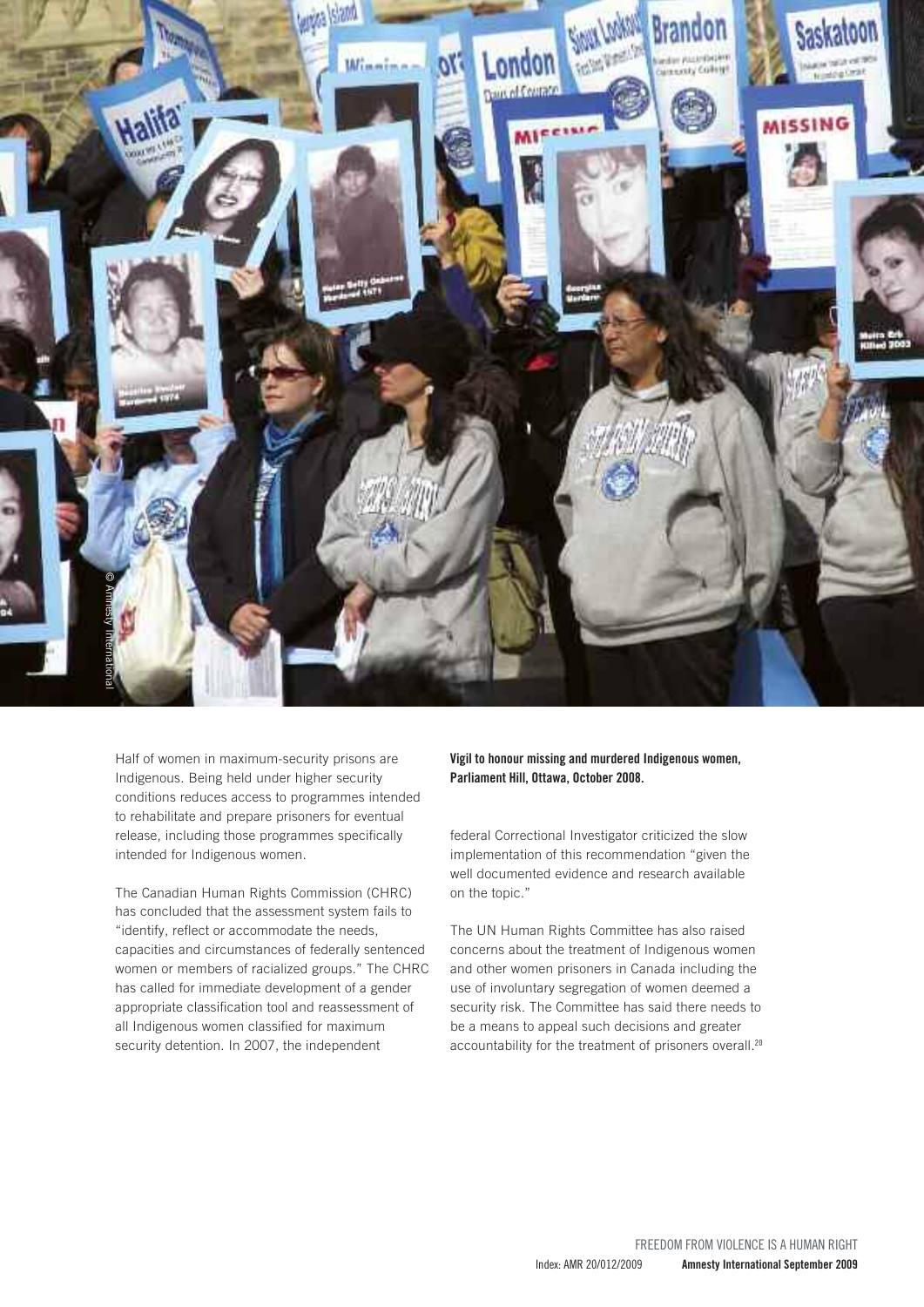

Half of women in maximum-security prisons are Indigenous. Being held under higher security conditions reduces access to programmes intended to rehabilitate and prepare prisoners for eventual release, including those programmes specifically intended for Indigenous women.

The Canadian Human Rights Commission (CHRC) has concluded that the assessment system fails to "identify, reflect or accommodate the needs, capacities and circumstances of federally sentenced women or members of racialized groups." The CHRC has called for immediate development of a gender appropriate classification tool and reassessment of all Indigenous women classified for maximum security detention. In 2007, the independent

Vigil to honour missing and murdered Indigenous women, Parliament Hill, Ottawa, October 2008.

federal Correctional Investigator criticized the slow implementation of this recommendation "given the well documented evidence and research available on the topic."

The UN Human Rights Committee has also raised concerns about the treatment of Indigenous women and other women prisoners in Canada including the use of involuntary segregation of women deemed a security risk. The Committee has said there needs to be a means to appeal such decisions and greater accountability for the treatment of prisoners overall.<sup>20</sup>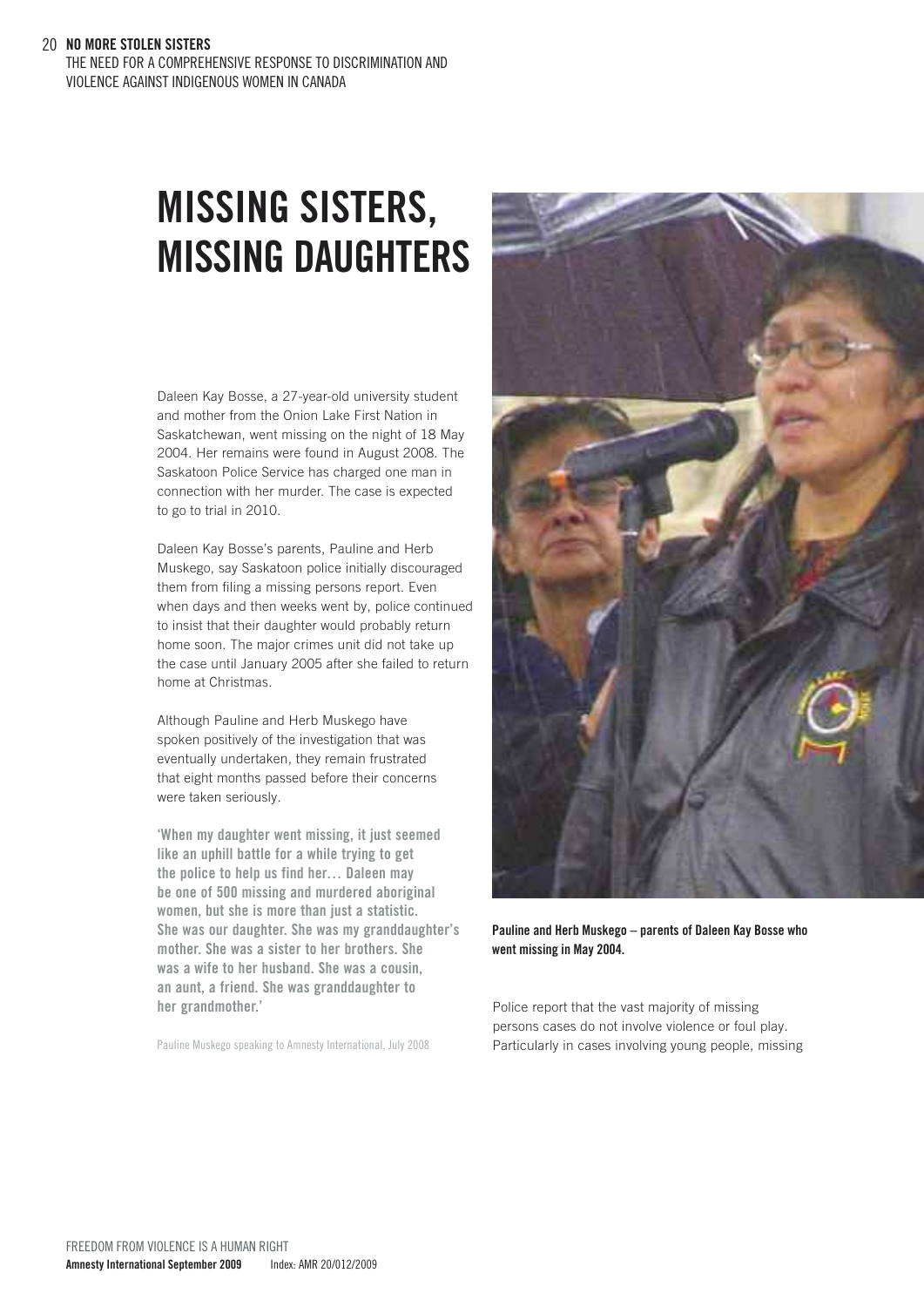### MISSING SISTERS, MISSING DAUGHTERS

Daleen Kay Bosse, a 27-year-old university student and mother from the Onion Lake First Nation in Saskatchewan, went missing on the night of 18 May 2004. Her remains were found in August 2008. The Saskatoon Police Service has charged one man in connection with her murder. The case is expected to go to trial in 2010.

Daleen Kay Bosse's parents, Pauline and Herb Muskego, say Saskatoon police initially discouraged them from filing a missing persons report. Even when days and then weeks went by, police continued to insist that their daughter would probably return home soon. The major crimes unit did not take up the case until January 2005 after she failed to return home at Christmas.

Although Pauline and Herb Muskego have spoken positively of the investigation that was eventually undertaken, they remain frustrated that eight months passed before their concerns were taken seriously.

'When my daughter went missing, it just seemed like an uphill battle for a while trying to get the police to help us find her… Daleen may be one of 500 missing and murdered aboriginal women, but she is more than just a statistic. She was our daughter. She was my granddaughter's mother. She was a sister to her brothers. She was a wife to her husband. She was a cousin, an aunt, a friend. She was granddaughter to her grandmother.'

Pauline Muskego speaking to Amnesty International, July 2008



Pauline and Herb Muskego – parents of Daleen Kay Bosse who went missing in May 2004.

Police report that the vast majority of missing persons cases do not involve violence or foul play. Particularly in cases involving young people, missing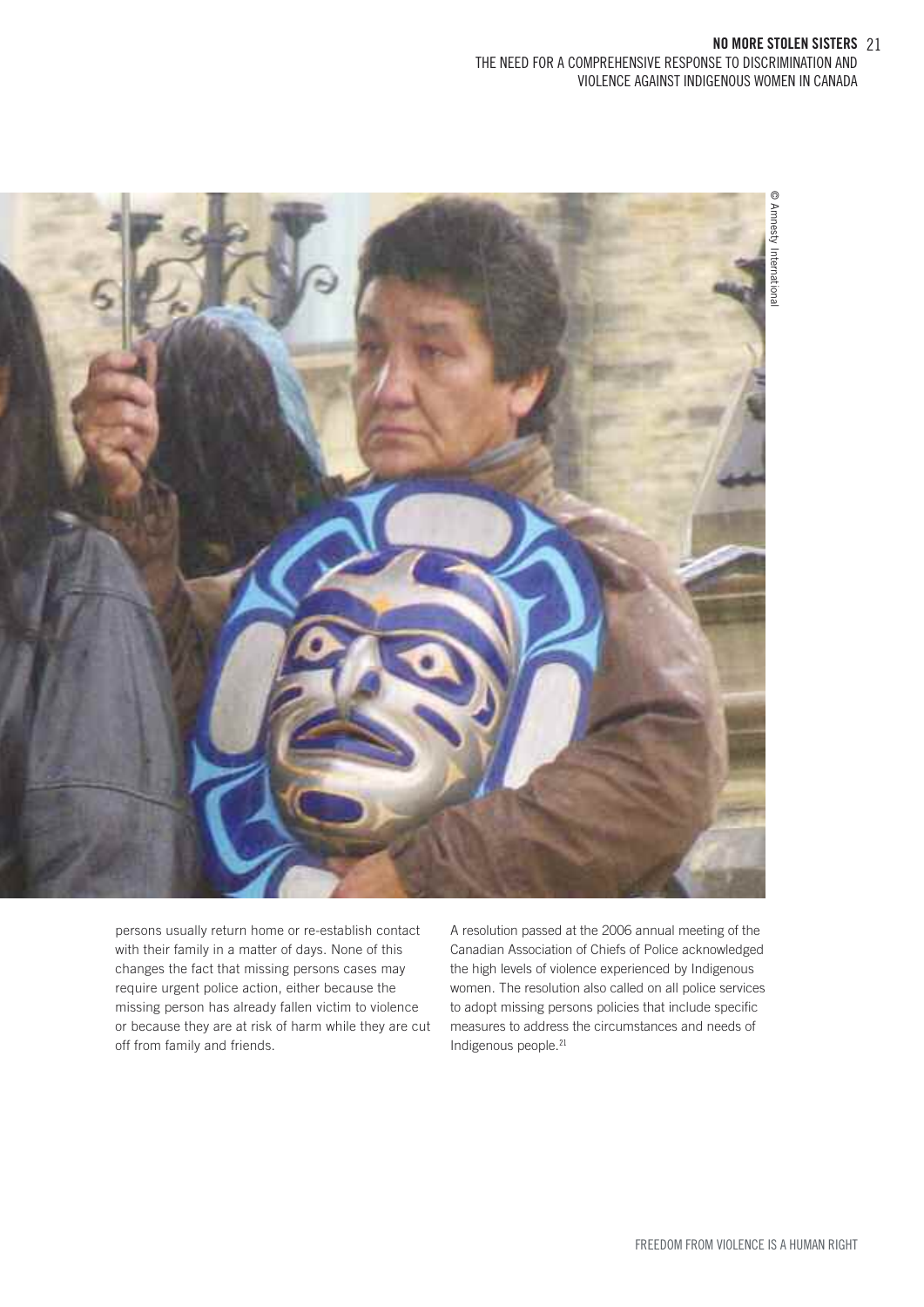### NO MORE STOLEN SISTERS 21 THE NEED FOR A COMPREHENSIVE RESPONSE TO DISCRIMINATION AND VIOLENCE AGAINST INDIGENOUS WOMEN IN CANADA



persons usually return home or re-establish contact with their family in a matter of days. None of this changes the fact that missing persons cases may require urgent police action, either because the missing person has already fallen victim to violence or because they are at risk of harm while they are cut off from family and friends.

A resolution passed at the 2006 annual meeting of the Canadian Association of Chiefs of Police acknowledged the high levels of violence experienced by Indigenous women. The resolution also called on all police services to adopt missing persons policies that include specific measures to address the circumstances and needs of Indigenous people. 21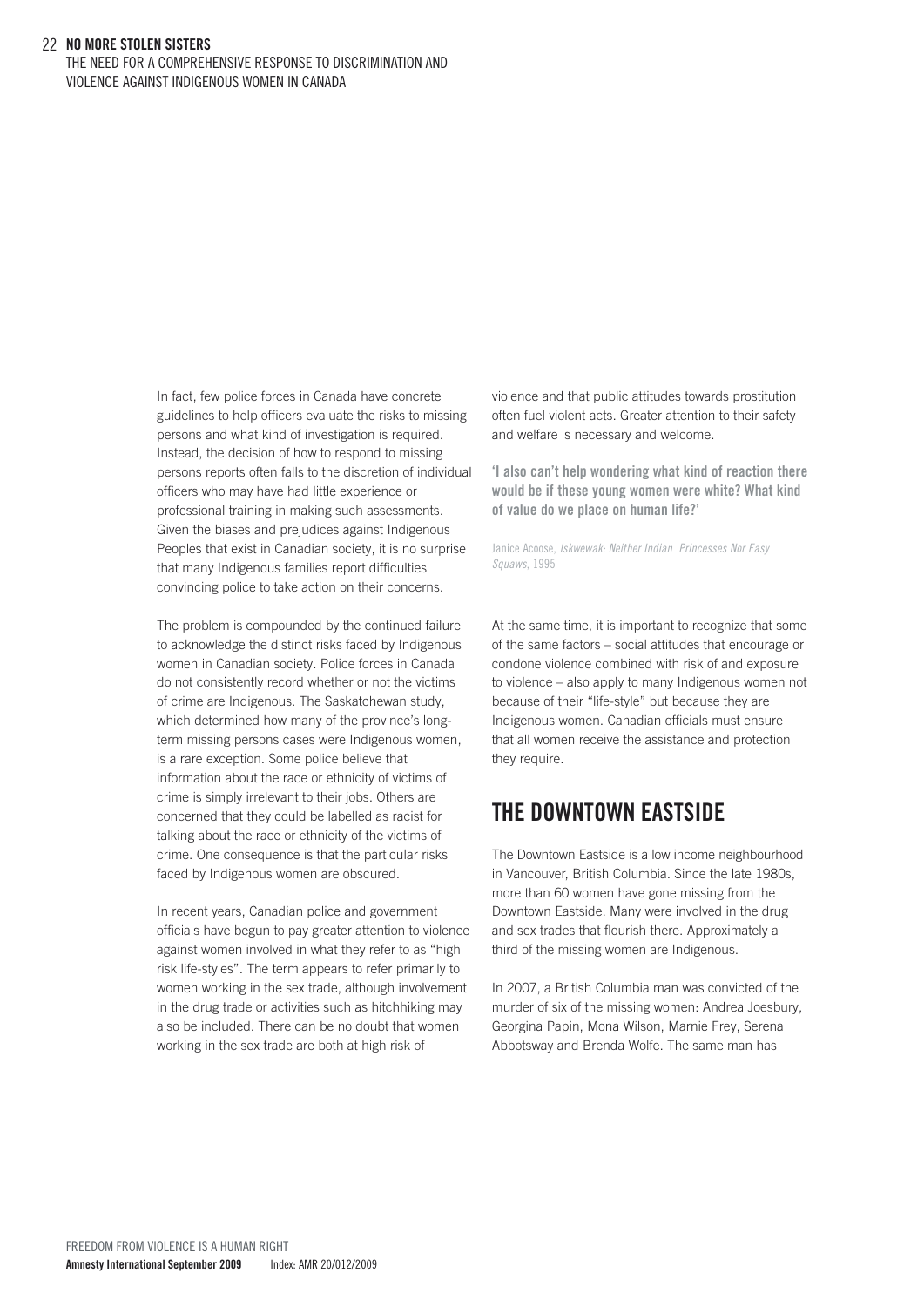THE NEED FOR A COMPREHENSIVE RESPONSE TO DISCRIMINATION AND VIOLENCE AGAINST INDIGENOUS WOMEN IN CANADA

> In fact, few police forces in Canada have concrete guidelines to help officers evaluate the risks to missing persons and what kind of investigation is required. Instead, the decision of how to respond to missing persons reports often falls to the discretion of individual officers who may have had little experience or professional training in making such assessments. Given the biases and prejudices against Indigenous Peoples that exist in Canadian society, it is no surprise that many Indigenous families report difficulties convincing police to take action on their concerns.

The problem is compounded by the continued failure to acknowledge the distinct risks faced by Indigenous women in Canadian society. Police forces in Canada do not consistently record whether or not the victims of crime are Indigenous. The Saskatchewan study, which determined how many of the province's longterm missing persons cases were Indigenous women, is a rare exception. Some police believe that information about the race or ethnicity of victims of crime is simply irrelevant to their jobs. Others are concerned that they could be labelled as racist for talking about the race or ethnicity of the victims of crime. One consequence is that the particular risks faced by Indigenous women are obscured.

In recent years, Canadian police and government officials have begun to pay greater attention to violence against women involved in what they refer to as "high risk life-styles". The term appears to refer primarily to women working in the sex trade, although involvement in the drug trade or activities such as hitchhiking may also be included. There can be no doubt that women working in the sex trade are both at high risk of

violence and that public attitudes towards prostitution often fuel violent acts. Greater attention to their safety and welfare is necessary and welcome.

'I also can't help wondering what kind of reaction there would be if these young women were white? What kind of value do we place on human life?'

Janice Acoose, *Iskwewak: Neither Indian Princesses Nor Easy Squaws*, 1995

At the same time, it is important to recognize that some of the same factors – social attitudes that encourage or condone violence combined with risk of and exposure to violence – also apply to many Indigenous women not because of their "life-style" but because they are Indigenous women. Canadian officials must ensure that all women receive the assistance and protection they require.

### THE DOWNTOWN EASTSIDE

The Downtown Eastside is a low income neighbourhood in Vancouver, British Columbia. Since the late 1980s, more than 60 women have gone missing from the Downtown Eastside. Many were involved in the drug and sex trades that flourish there. Approximately a third of the missing women are Indigenous.

In 2007, a British Columbia man was convicted of the murder of six of the missing women: Andrea Joesbury, Georgina Papin, Mona Wilson, Marnie Frey, Serena Abbotsway and Brenda Wolfe. The same man has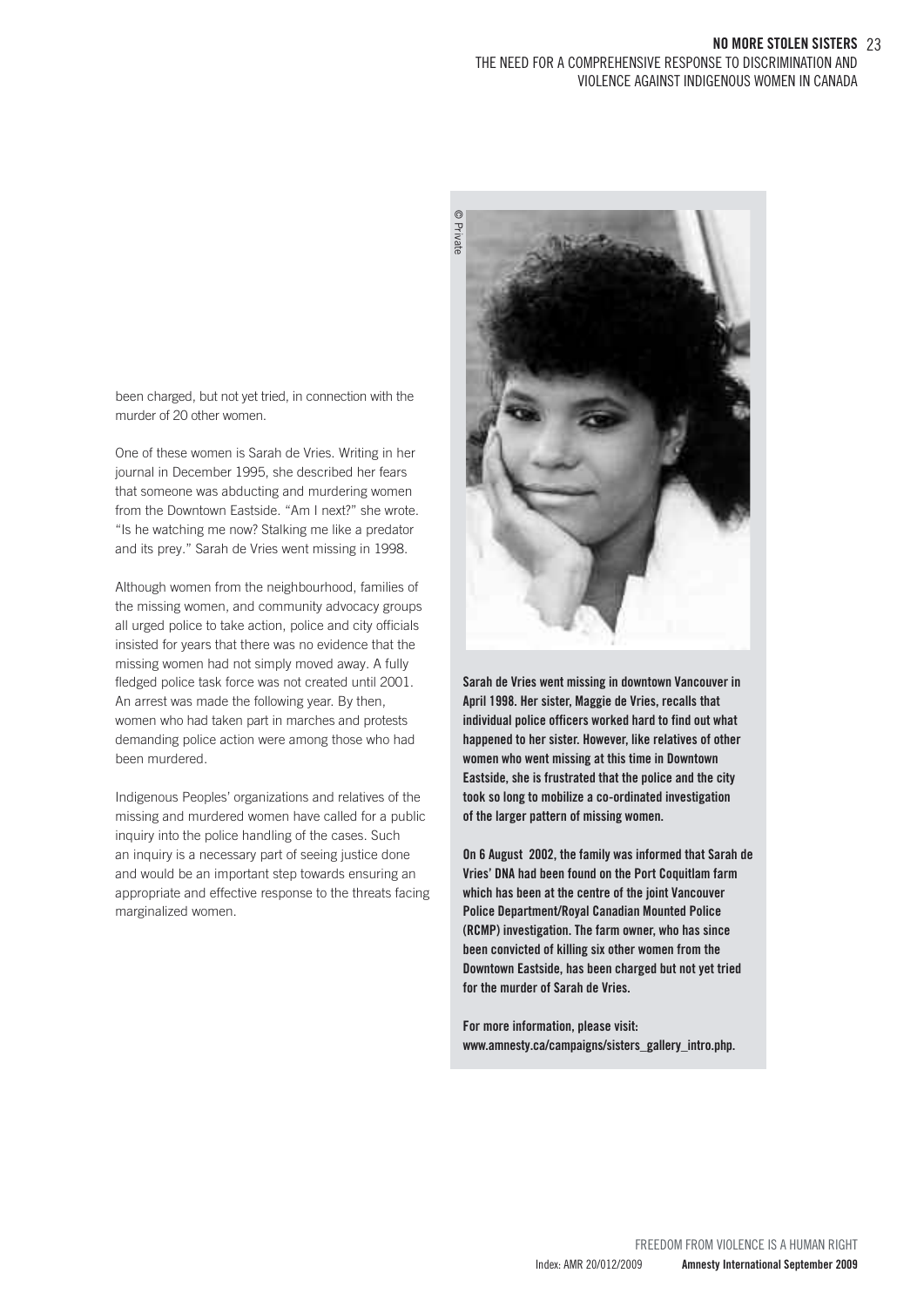#### NO MORE STOLEN SISTERS 23 THE NEED FOR A COMPREHENSIVE RESPONSE TO DISCRIMINATION AND VIOLENCE AGAINST INDIGENOUS WOMEN IN CANADA

been charged, but not yet tried, in connection with the murder of 20 other women.

One of these women is Sarah de Vries. Writing in her journal in December 1995, she described her fears that someone was abducting and murdering women from the Downtown Eastside. "Am I next?" she wrote. "Is he watching me now? Stalking me like a predator and its prey." Sarah de Vries went missing in 1998.

Although women from the neighbourhood, families of the missing women, and community advocacy groups all urged police to take action, police and city officials insisted for years that there was no evidence that the missing women had not simply moved away. A fully fledged police task force was not created until 2001. An arrest was made the following year. By then, women who had taken part in marches and protests demanding police action were among those who had been murdered.

Indigenous Peoples' organizations and relatives of the missing and murdered women have called for a public inquiry into the police handling of the cases. Such an inquiry is a necessary part of seeing justice done and would be an important step towards ensuring an appropriate and effective response to the threats facing marginalized women.



Sarah de Vries went missing in downtown Vancouver in April 1998. Her sister, Maggie de Vries, recalls that individual police officers worked hard to find out what happened to her sister. However, like relatives of other women who went missing at this time in Downtown Eastside, she is frustrated that the police and the city took so long to mobilize a co-ordinated investigation of the larger pattern of missing women.

On 6 August 2002, the family was informed that Sarah de Vries' DNA had been found on the Port Coquitlam farm which has been at the centre of the joint Vancouver Police Department/Royal Canadian Mounted Police (RCMP) investigation. The farm owner, who has since been convicted of killing six other women from the Downtown Eastside, has been charged but not yet tried for the murder of Sarah de Vries.

For more information, please visit: www.amnesty.ca/campaigns/sisters\_gallery\_intro.php.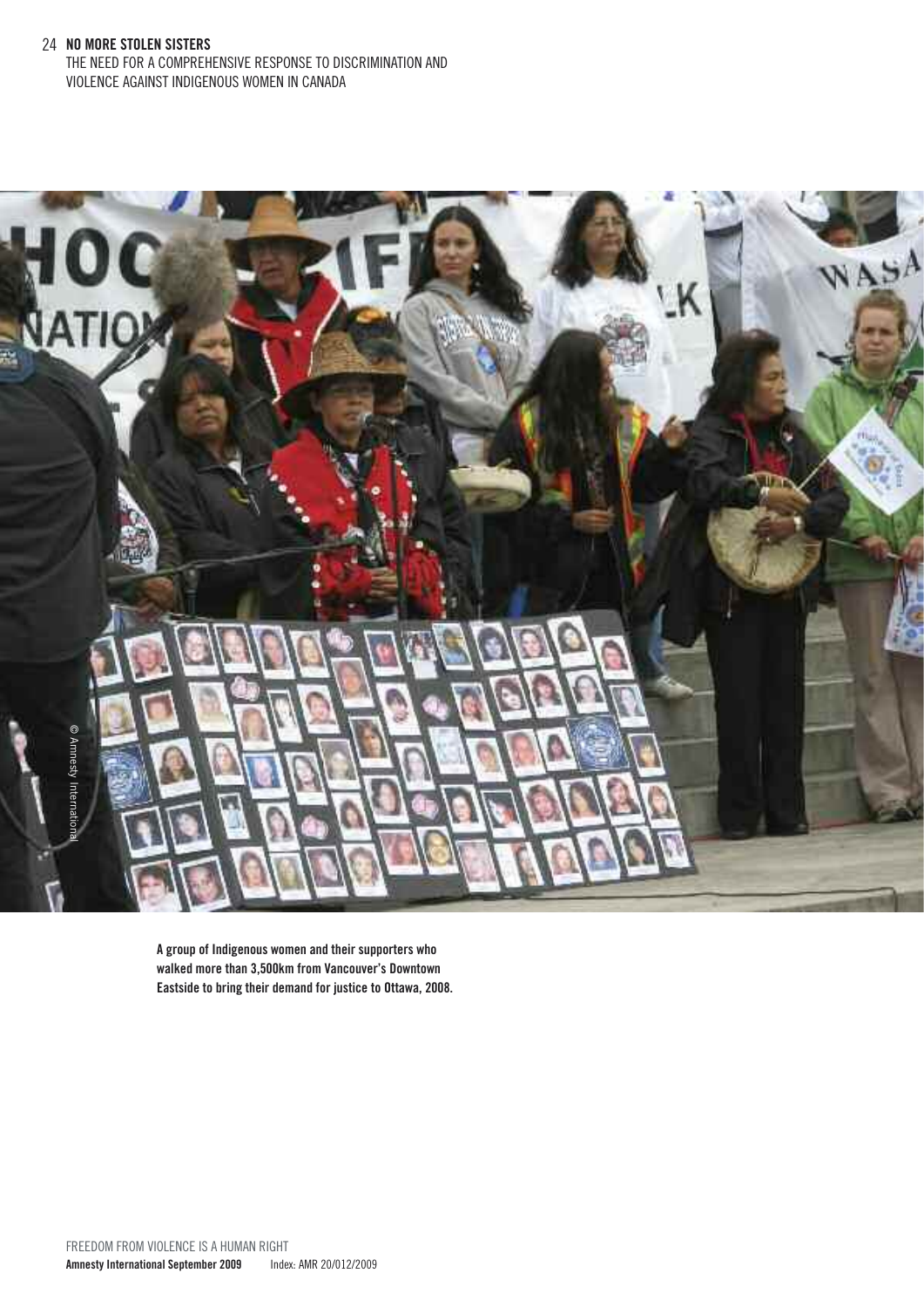THE NEED FOR A COMPREHENSIVE RESPONSE TO DISCRIMINATION AND VIOLENCE AGAINST INDIGENOUS WOMEN IN CANADA



A group of Indigenous women and their supporters who walked more than 3,500km from Vancouver's Downtown Eastside to bring their demand for justice to Ottawa, 2008.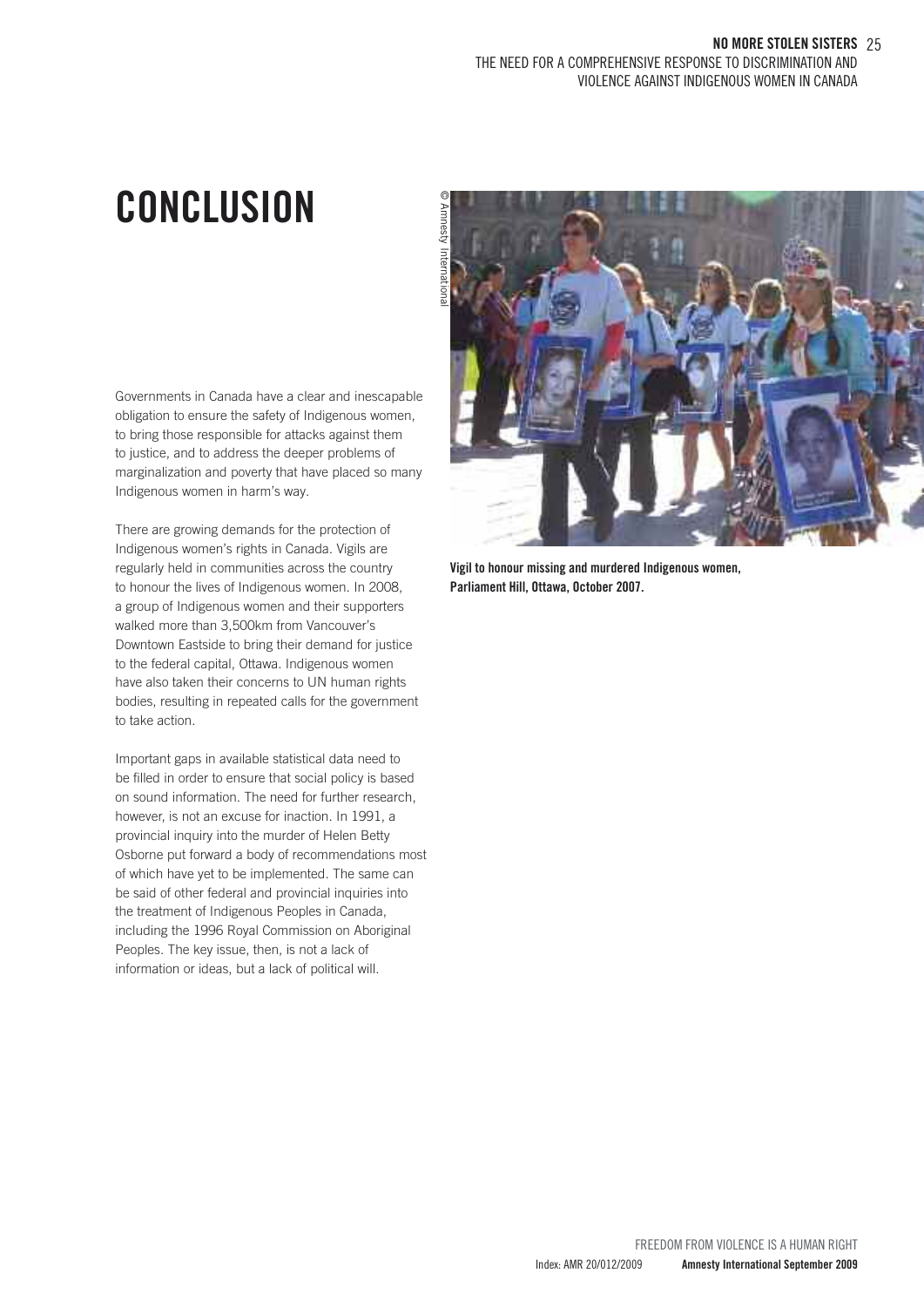### THE NEED FOR A COMPREHENSIVE RESPONSE TO DISCRIMINATION AND VIOLENCE AGAINST INDIGENOUS WOMEN IN CANADA

### **CONCLUSION**

Governments in Canada have a clear and inescapable obligation to ensure the safety of Indigenous women, to bring those responsible for attacks against them to justice, and to address the deeper problems of marginalization and poverty that have placed so many Indigenous women in harm's way.

There are growing demands for the protection of Indigenous women's rights in Canada. Vigils are regularly held in communities across the country to honour the lives of Indigenous women. In 2008, a group of Indigenous women and their supporters walked more than 3,500km from Vancouver's Downtown Eastside to bring their demand for justice to the federal capital, Ottawa. Indigenous women have also taken their concerns to UN human rights bodies, resulting in repeated calls for the government to take action.

Important gaps in available statistical data need to be filled in order to ensure that social policy is based on sound information. The need for further research, however, is not an excuse for inaction. In 1991, a provincial inquiry into the murder of Helen Betty Osborne put forward a body of recommendations most of which have yet to be implemented. The same can be said of other federal and provincial inquiries into the treatment of Indigenous Peoples in Canada, including the 1996 Royal Commission on Aboriginal Peoples. The key issue, then, is not a lack of information or ideas, but a lack of political will.



Vigil to honour missing and murdered Indigenous women, Parliament Hill, Ottawa, October 2007.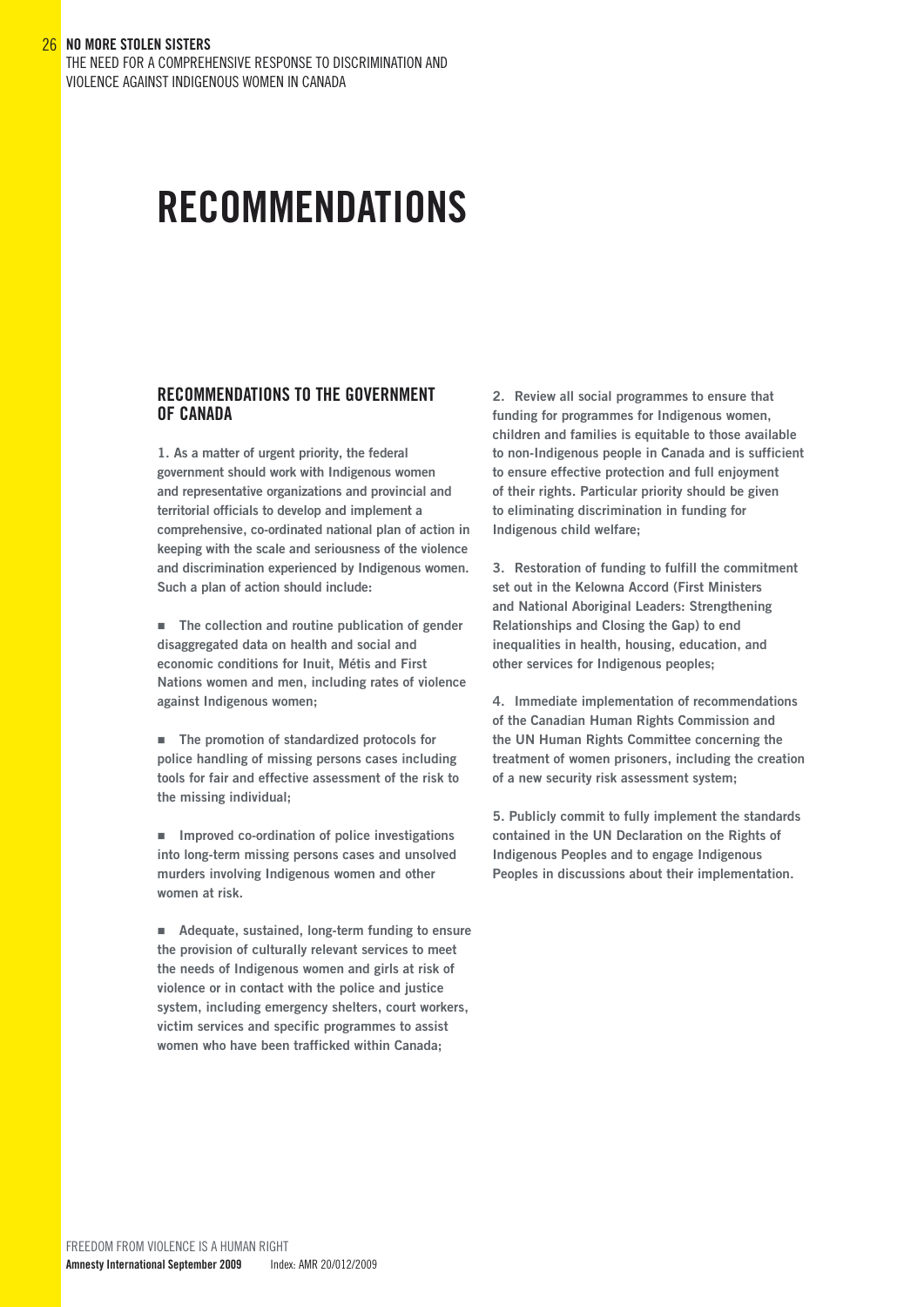THE NEED FOR A COMPREHENSIVE RESPONSE TO DISCRIMINATION AND VIOLENCE AGAINST INDIGENOUS WOMEN IN CANADA

### RECOMMENDATIONS

### RECOMMENDATIONS TO THE GOVERNMENT OF CANADA

1. As a matter of urgent priority, the federal government should work with Indigenous women and representative organizations and provincial and territorial officials to develop and implement a comprehensive, co-ordinated national plan of action in keeping with the scale and seriousness of the violence and discrimination experienced by Indigenous women. Such a plan of action should include:

■ The collection and routine publication of gender disaggregated data on health and social and economic conditions for Inuit, Métis and First Nations women and men, including rates of violence against Indigenous women;

■ The promotion of standardized protocols for police handling of missing persons cases including tools for fair and effective assessment of the risk to the missing individual;

 Improved co-ordination of police investigations into long-term missing persons cases and unsolved murders involving Indigenous women and other women at risk.

■ Adequate, sustained, long-term funding to ensure the provision of culturally relevant services to meet the needs of Indigenous women and girls at risk of violence or in contact with the police and justice system, including emergency shelters, court workers, victim services and specific programmes to assist women who have been trafficked within Canada;

2. Review all social programmes to ensure that funding for programmes for Indigenous women, children and families is equitable to those available to non-Indigenous people in Canada and is sufficient to ensure effective protection and full enjoyment of their rights. Particular priority should be given to eliminating discrimination in funding for Indigenous child welfare;

3. Restoration of funding to fulfill the commitment set out in the Kelowna Accord (First Ministers and National Aboriginal Leaders: Strengthening Relationships and Closing the Gap) to end inequalities in health, housing, education, and other services for Indigenous peoples;

4. Immediate implementation of recommendations of the Canadian Human Rights Commission and the UN Human Rights Committee concerning the treatment of women prisoners, including the creation of a new security risk assessment system;

5. Publicly commit to fully implement the standards contained in the UN Declaration on the Rights of Indigenous Peoples and to engage Indigenous Peoples in discussions about their implementation.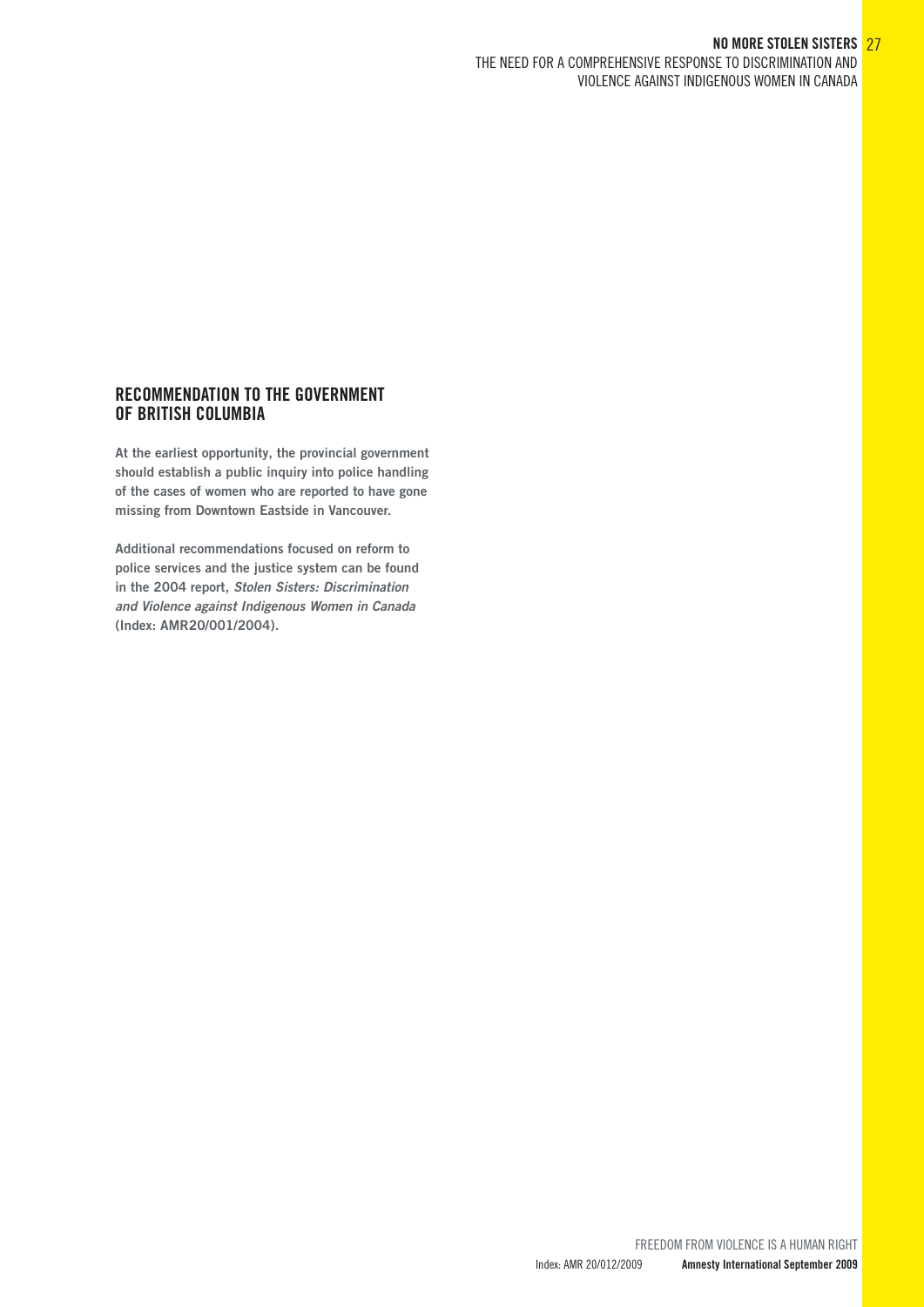THE NEED FOR A COMPREHENSIVE RESPONSE TO DISCRIMINATION AND VIOLENCE AGAINST INDIGENOUS WOMEN IN CANADA

### RECOMMENDATION TO THE GOVERNMENT OF BRITISH COLUMBIA

At the earliest opportunity, the provincial government should establish a public inquiry into police handling of the cases of women who are reported to have gone missing from Downtown Eastside in Vancouver.

Additional recommendations focused on reform to police services and the justice system can be found in the 2004 report, *Stolen Sisters: Discrimination and Violence against Indigenous Women in Canada* (Index: AMR20/001/2004).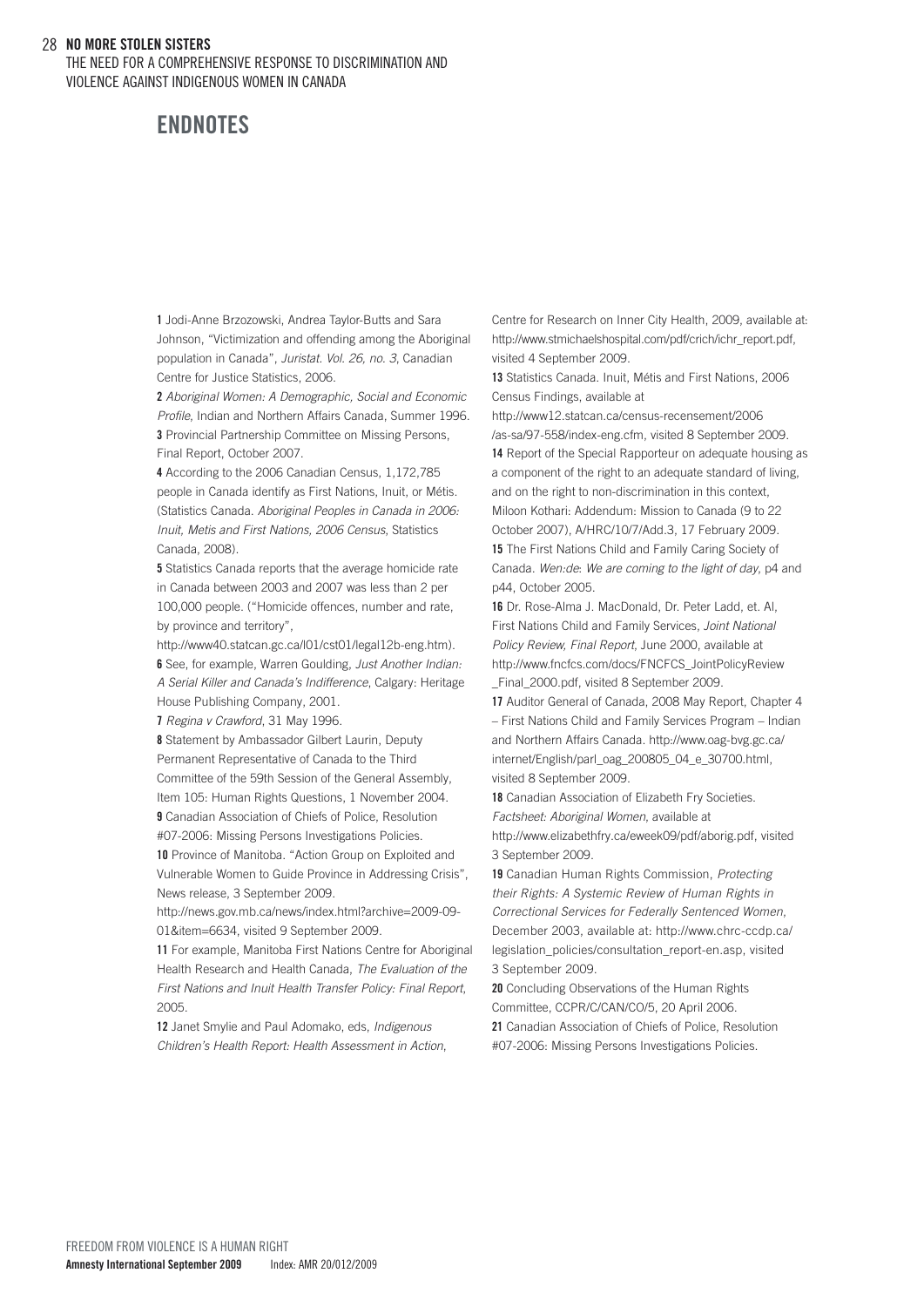THE NEED FOR A COMPREHENSIVE RESPONSE TO DISCRIMINATION AND VIOLENCE AGAINST INDIGENOUS WOMEN IN CANADA

### **ENDNOTES**

1 Jodi-Anne Brzozowski, Andrea Taylor-Butts and Sara Johnson, "Victimization and offending among the Aboriginal population in Canada", Juristat. Vol. 26, no. 3, Canadian Centre for Justice Statistics, 2006.

2 Aboriginal Women: A Demographic, Social and Economic Profile, Indian and Northern Affairs Canada, Summer 1996. 3 Provincial Partnership Committee on Missing Persons, Final Report, October 2007.

4 According to the 2006 Canadian Census, 1,172,785 people in Canada identify as First Nations, Inuit, or Métis. (Statistics Canada. Aboriginal Peoples in Canada in 2006: Inuit, Metis and First Nations, 2006 Census, Statistics Canada, 2008).

**5** Statistics Canada reports that the average homicide rate in Canada between 2003 and 2007 was less than 2 per 100,000 people. ("Homicide offences, number and rate, by province and territory",

http://www40.statcan.gc.ca/l01/cst01/legal12b-eng.htm). **6** See, for example, Warren Goulding, Just Another Indian: A Serial Killer and Canada's Indifference, Calgary: Heritage House Publishing Company, 2001.

7 Regina v Crawford, 31 May 1996.

8 Statement by Ambassador Gilbert Laurin, Deputy Permanent Representative of Canada to the Third Committee of the 59th Session of the General Assembly, Item 105: Human Rights Questions, 1 November 2004. **9** Canadian Association of Chiefs of Police, Resolution

#07-2006: Missing Persons Investigations Policies. 10 Province of Manitoba. "Action Group on Exploited and Vulnerable Women to Guide Province in Addressing Crisis",

News release, 3 September 2009.

http://news.gov.mb.ca/news/index.html?archive=2009-09- 01&item=6634, visited 9 September 2009.

11 For example, Manitoba First Nations Centre for Aboriginal Health Research and Health Canada, The Evaluation of the First Nations and Inuit Health Transfer Policy: Final Report, 2005.

12 Janet Smylie and Paul Adomako, eds, Indigenous Children's Health Report: Health Assessment in Action, Centre for Research on Inner City Health, 2009, available at: http://www.stmichaelshospital.com/pdf/crich/ichr\_report.pdf, visited 4 September 2009.

13 Statistics Canada. Inuit, Métis and First Nations, 2006 Census Findings, available at

http://www12.statcan.ca/census-recensement/2006 /as-sa/97-558/index-eng.cfm, visited 8 September 2009. 14 Report of the Special Rapporteur on adequate housing as a component of the right to an adequate standard of living, and on the right to non-discrimination in this context, Miloon Kothari: Addendum: Mission to Canada (9 to 22 October 2007), A/HRC/10/7/Add.3, 17 February 2009. 15 The First Nations Child and Family Caring Society of Canada. Wen:de: We are coming to the light of day, p4 and p44, October 2005.

16 Dr. Rose-Alma J. MacDonald, Dr. Peter Ladd, et. Al, First Nations Child and Family Services, Joint National Policy Review, Final Report, June 2000, available at http://www.fncfcs.com/docs/FNCFCS\_JointPolicyReview \_Final\_2000.pdf, visited 8 September 2009.

17 Auditor General of Canada, 2008 May Report, Chapter 4 – First Nations Child and Family Services Program – Indian and Northern Affairs Canada. http://www.oag-bvg.gc.ca/ internet/English/parl\_oag\_200805\_04\_e\_30700.html, visited 8 September 2009.

18 Canadian Association of Elizabeth Fry Societies. Factsheet: Aboriginal Women, available at http://www.elizabethfry.ca/eweek09/pdf/aborig.pdf, visited 3 September 2009.

19 Canadian Human Rights Commission, Protecting their Rights: A Systemic Review of Human Rights in Correctional Services for Federally Sentenced Women, December 2003, available at: http://www.chrc-ccdp.ca/ legislation\_policies/consultation\_report-en.asp, visited 3 September 2009.

20 Concluding Observations of the Human Rights Committee, CCPR/C/CAN/CO/5, 20 April 2006. 21 Canadian Association of Chiefs of Police, Resolution #07-2006: Missing Persons Investigations Policies.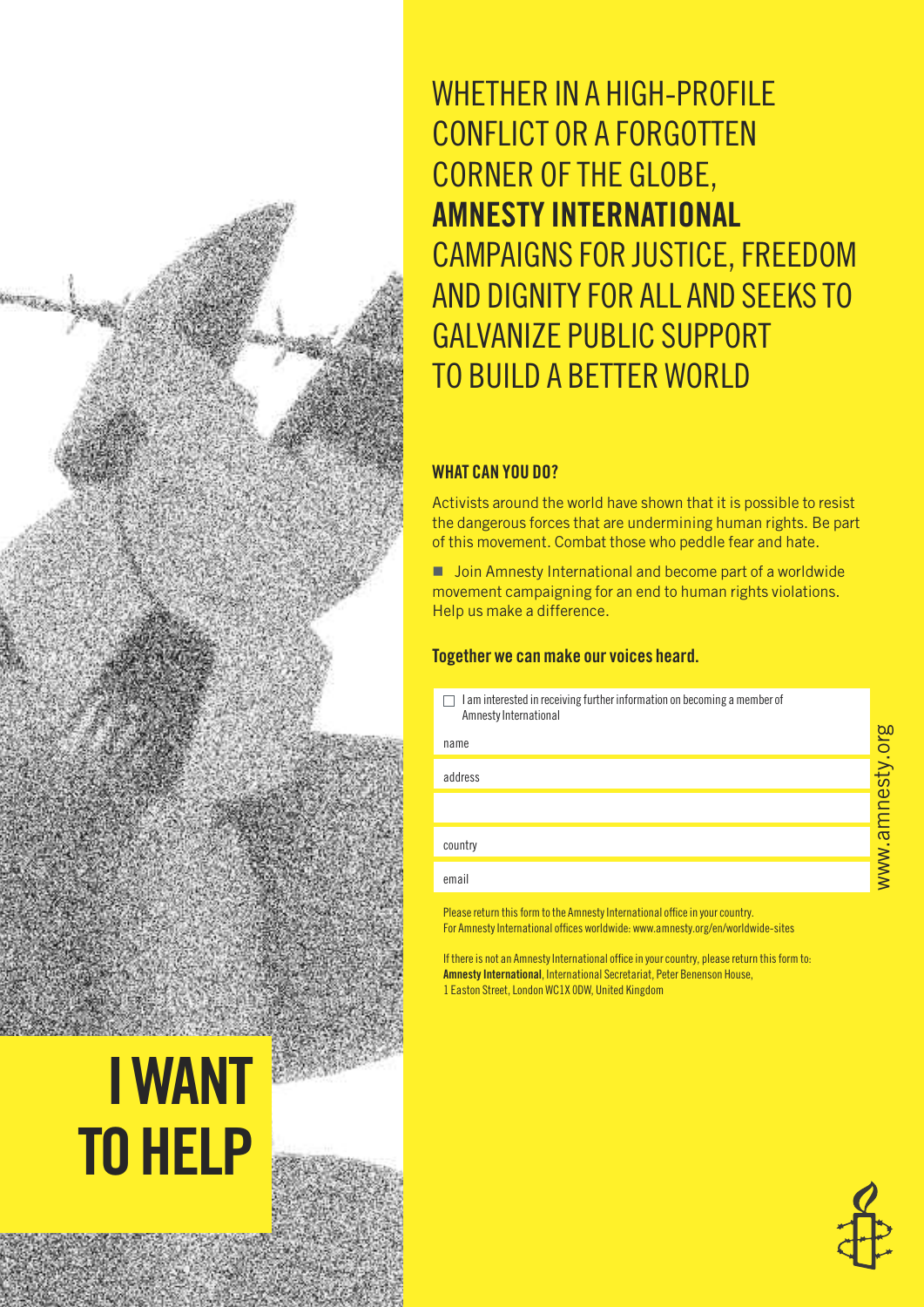WHETHER IN A HIGH-PROFILE CONFLICT OR A FORGOTTEN CORNER OFTHE GLOBE, AMNESTY INTERNATIONAL CAMPAIGNS FOR JUSTICE,FREEDOM AND DIGNITY FOR ALL AND SEEKS TO GALVANIZE PUBLIC SUPPORT TO BUILD A BETTER WORLD

### WHAT CAN YOU DO?

Activists around the world have shown that it is possible to resist the dangerous forces that are undermining human rights. Be part of this movement. Combat those who peddle fear and hate.

■ Join Amnesty International and become part of a worldwide movement campaigning for an end to human rights violations. Help us make a difference.

### Together we can make our voices heard.

 $\Box$  I am interested in receiving further information on becoming a member of Amnesty International

| name    |  |  |
|---------|--|--|
| address |  |  |
|         |  |  |
| country |  |  |
| email   |  |  |
|         |  |  |

Please return this form to the Amnesty International office in your country. For Amnesty International offices worldwide: www.amnesty.org/en/worldwide-sites

If there is not an Amnesty International office in your country, please return this form to: Amnesty International, International Secretariat, Peter Benenson House, 1 Easton Street, London WC1X 0DW, United Kingdom

## IWANT **TO HELP**